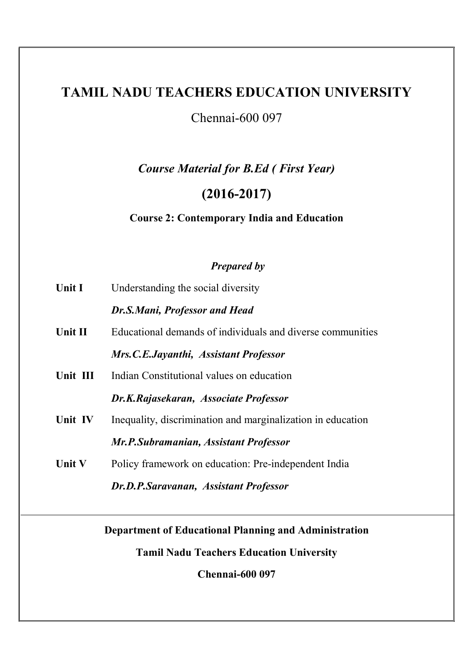# TAMIL NADU TEACHERS EDUCATION UNIVERSITY

Chennai-600 097

Course Material for B.Ed ( First Year)

# (2016-2017)

Course 2: Contemporary India and Education

## Prepared by

Unit I Understanding the social diversity

Dr.S.Mani, Professor and Head

- Unit II Educational demands of individuals and diverse communities Mrs.C.E.Jayanthi, Assistant Professor
- Unit III Indian Constitutional values on education

Dr.K.Rajasekaran, Associate Professor

- Unit IV Inequality, discrimination and marginalization in education Mr.P.Subramanian, Assistant Professor
- Unit V Policy framework on education: Pre-independent India

Dr.D.P.Saravanan, Assistant Professor

## Department of Educational Planning and Administration

Tamil Nadu Teachers Education University

Chennai-600 097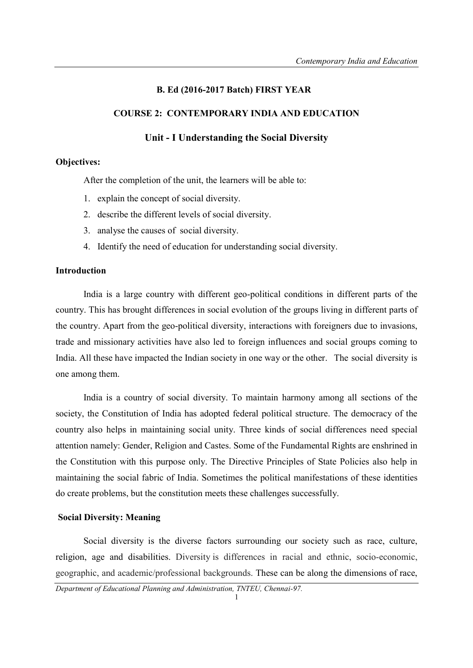## B. Ed (2016-2017 Batch) FIRST YEAR

#### COURSE 2: CONTEMPORARY INDIA AND EDUCATION

## Unit - I Understanding the Social Diversity

#### Objectives:

After the completion of the unit, the learners will be able to:

- 1. explain the concept of social diversity.
- 2. describe the different levels of social diversity.
- 3. analyse the causes of social diversity.
- 4. Identify the need of education for understanding social diversity.

#### Introduction

 India is a large country with different geo-political conditions in different parts of the country. This has brought differences in social evolution of the groups living in different parts of the country. Apart from the geo-political diversity, interactions with foreigners due to invasions, trade and missionary activities have also led to foreign influences and social groups coming to India. All these have impacted the Indian society in one way or the other. The social diversity is one among them.

 India is a country of social diversity. To maintain harmony among all sections of the society, the Constitution of India has adopted federal political structure. The democracy of the country also helps in maintaining social unity. Three kinds of social differences need special attention namely: Gender, Religion and Castes. Some of the Fundamental Rights are enshrined in the Constitution with this purpose only. The Directive Principles of State Policies also help in maintaining the social fabric of India. Sometimes the political manifestations of these identities do create problems, but the constitution meets these challenges successfully.

#### Social Diversity: Meaning

Social diversity is the diverse factors surrounding our society such as race, culture, religion, age and disabilities. Diversity is differences in racial and ethnic, socio-economic, geographic, and academic/professional backgrounds. These can be along the dimensions of race,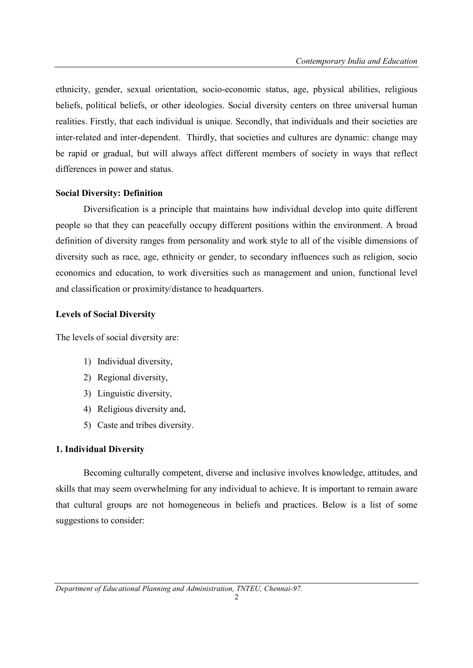ethnicity, gender, sexual orientation, socio-economic status, age, physical abilities, religious beliefs, political beliefs, or other ideologies. Social diversity centers on three universal human realities. Firstly, that each individual is unique. Secondly, that individuals and their societies are inter-related and inter-dependent. Thirdly, that societies and cultures are dynamic: change may be rapid or gradual, but will always affect different members of society in ways that reflect differences in power and status.

## Social Diversity: Definition

 Diversification is a principle that maintains how individual develop into quite different people so that they can peacefully occupy different positions within the environment. A broad definition of diversity ranges from personality and work style to all of the visible dimensions of diversity such as race, age, ethnicity or gender, to secondary influences such as religion, socio economics and education, to work diversities such as management and union, functional level and classification or proximity/distance to headquarters.

### Levels of Social Diversity

The levels of social diversity are:

- 1) Individual diversity,
- 2) Regional diversity,
- 3) Linguistic diversity,
- 4) Religious diversity and,
- 5) Caste and tribes diversity.

## 1. Individual Diversity

 Becoming culturally competent, diverse and inclusive involves knowledge, attitudes, and skills that may seem overwhelming for any individual to achieve. It is important to remain aware that cultural groups are not homogeneous in beliefs and practices. Below is a list of some suggestions to consider: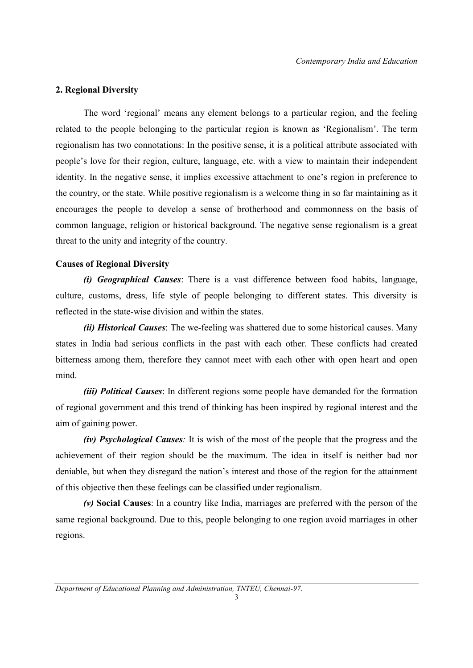## 2. Regional Diversity

 The word 'regional' means any element belongs to a particular region, and the feeling related to the people belonging to the particular region is known as 'Regionalism'. The term regionalism has two connotations: In the positive sense, it is a political attribute associated with people's love for their region, culture, language, etc. with a view to maintain their independent identity. In the negative sense, it implies excessive attachment to one's region in preference to the country, or the state. While positive regionalism is a welcome thing in so far maintaining as it encourages the people to develop a sense of brotherhood and commonness on the basis of common language, religion or historical background. The negative sense regionalism is a great threat to the unity and integrity of the country.

#### Causes of Regional Diversity

(i) Geographical Causes: There is a vast difference between food habits, language, culture, customs, dress, life style of people belonging to different states. This diversity is reflected in the state-wise division and within the states.

(ii) Historical Causes: The we-feeling was shattered due to some historical causes. Many states in India had serious conflicts in the past with each other. These conflicts had created bitterness among them, therefore they cannot meet with each other with open heart and open mind.

(iii) Political Causes: In different regions some people have demanded for the formation of regional government and this trend of thinking has been inspired by regional interest and the aim of gaining power.

(iv) Psychological Causes: It is wish of the most of the people that the progress and the achievement of their region should be the maximum. The idea in itself is neither bad nor deniable, but when they disregard the nation's interest and those of the region for the attainment of this objective then these feelings can be classified under regionalism.

(v) Social Causes: In a country like India, marriages are preferred with the person of the same regional background. Due to this, people belonging to one region avoid marriages in other regions.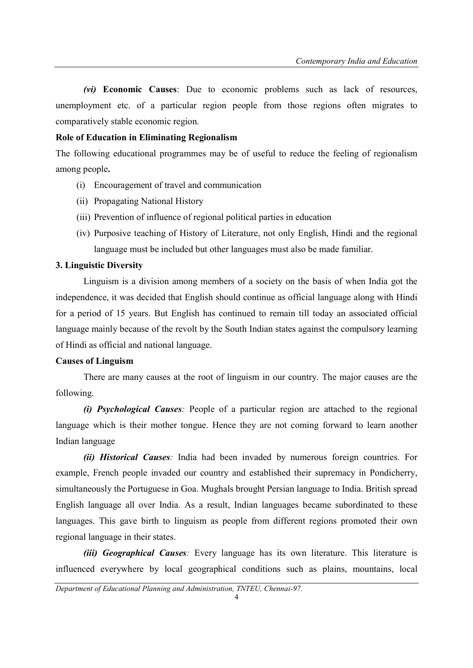(vi) Economic Causes: Due to economic problems such as lack of resources, unemployment etc. of a particular region people from those regions often migrates to comparatively stable economic region.

### Role of Education in Eliminating Regionalism

The following educational programmes may be of useful to reduce the feeling of regionalism among people.

- (i) Encouragement of travel and communication
- (ii) Propagating National History
- (iii) Prevention of influence of regional political parties in education
- (iv) Purposive teaching of History of Literature, not only English, Hindi and the regional language must be included but other languages must also be made familiar.

### 3. Linguistic Diversity

 Linguism is a division among members of a society on the basis of when India got the independence, it was decided that English should continue as official language along with Hindi for a period of 15 years. But English has continued to remain till today an associated official language mainly because of the revolt by the South Indian states against the compulsory learning of Hindi as official and national language.

## Causes of Linguism

 There are many causes at the root of linguism in our country. The major causes are the following.

(i) Psychological Causes: People of a particular region are attached to the regional language which is their mother tongue. Hence they are not coming forward to learn another Indian language

(ii) Historical Causes: India had been invaded by numerous foreign countries. For example, French people invaded our country and established their supremacy in Pondicherry, simultaneously the Portuguese in Goa. Mughals brought Persian language to India. British spread English language all over India. As a result, Indian languages became subordinated to these languages. This gave birth to linguism as people from different regions promoted their own regional language in their states.

(iii) Geographical Causes: Every language has its own literature. This literature is influenced everywhere by local geographical conditions such as plains, mountains, local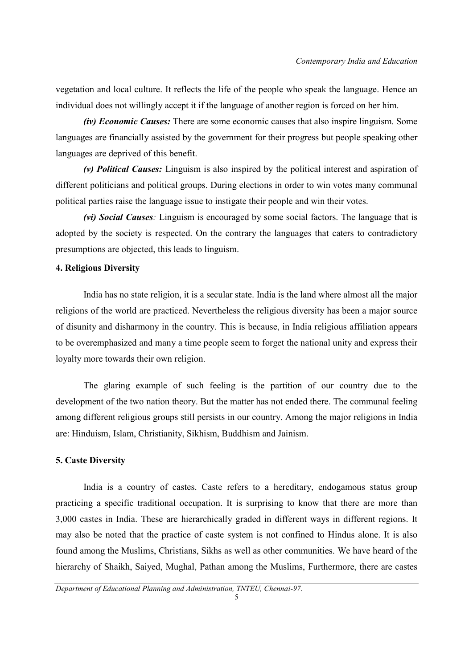vegetation and local culture. It reflects the life of the people who speak the language. Hence an individual does not willingly accept it if the language of another region is forced on her him.

(iv) Economic Causes: There are some economic causes that also inspire linguism. Some languages are financially assisted by the government for their progress but people speaking other languages are deprived of this benefit.

(v) Political Causes: Linguism is also inspired by the political interest and aspiration of different politicians and political groups. During elections in order to win votes many communal political parties raise the language issue to instigate their people and win their votes.

(*vi*) Social Causes: Linguism is encouraged by some social factors. The language that is adopted by the society is respected. On the contrary the languages that caters to contradictory presumptions are objected, this leads to linguism.

## 4. Religious Diversity

 India has no state religion, it is a secular state. India is the land where almost all the major religions of the world are practiced. Nevertheless the religious diversity has been a major source of disunity and disharmony in the country. This is because, in India religious affiliation appears to be overemphasized and many a time people seem to forget the national unity and express their loyalty more towards their own religion.

 The glaring example of such feeling is the partition of our country due to the development of the two nation theory. But the matter has not ended there. The communal feeling among different religious groups still persists in our country. Among the major religions in India are: Hinduism, Islam, Christianity, Sikhism, Buddhism and Jainism.

#### 5. Caste Diversity

India is a country of castes. Caste refers to a hereditary, endogamous status group practicing a specific traditional occupation. It is surprising to know that there are more than 3,000 castes in India. These are hierarchically graded in different ways in different regions. It may also be noted that the practice of caste system is not confined to Hindus alone. It is also found among the Muslims, Christians, Sikhs as well as other communities. We have heard of the hierarchy of Shaikh, Saiyed, Mughal, Pathan among the Muslims, Furthermore, there are castes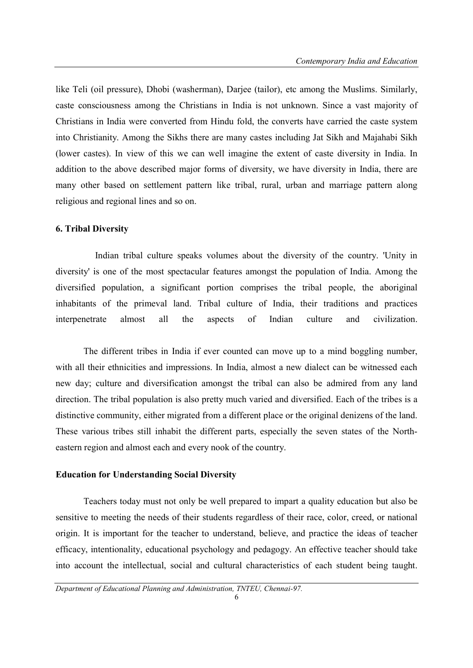like Teli (oil pressure), Dhobi (washerman), Darjee (tailor), etc among the Muslims. Similarly, caste consciousness among the Christians in India is not unknown. Since a vast majority of Christians in India were converted from Hindu fold, the converts have carried the caste system into Christianity. Among the Sikhs there are many castes including Jat Sikh and Majahabi Sikh (lower castes). In view of this we can well imagine the extent of caste diversity in India. In addition to the above described major forms of diversity, we have diversity in India, there are many other based on settlement pattern like tribal, rural, urban and marriage pattern along religious and regional lines and so on.

#### 6. Tribal Diversity

 Indian tribal culture speaks volumes about the diversity of the country. 'Unity in diversity' is one of the most spectacular features amongst the population of India. Among the diversified population, a significant portion comprises the tribal people, the aboriginal inhabitants of the primeval land. Tribal culture of India, their traditions and practices interpenetrate almost all the aspects of Indian culture and civilization.

 The different tribes in India if ever counted can move up to a mind boggling number, with all their ethnicities and impressions. In India, almost a new dialect can be witnessed each new day; culture and diversification amongst the tribal can also be admired from any land direction. The tribal population is also pretty much varied and diversified. Each of the tribes is a distinctive community, either migrated from a different place or the original denizens of the land. These various tribes still inhabit the different parts, especially the seven states of the Northeastern region and almost each and every nook of the country.

#### Education for Understanding Social Diversity

Teachers today must not only be well prepared to impart a quality education but also be sensitive to meeting the needs of their students regardless of their race, color, creed, or national origin. It is important for the teacher to understand, believe, and practice the ideas of teacher efficacy, intentionality, educational psychology and pedagogy. An effective teacher should take into account the intellectual, social and cultural characteristics of each student being taught.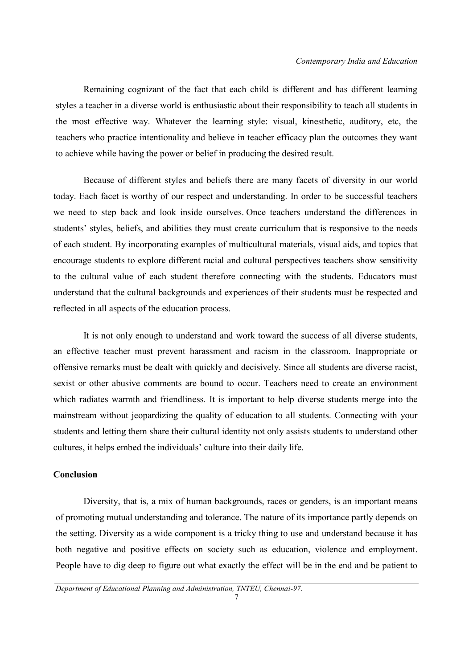Remaining cognizant of the fact that each child is different and has different learning styles a teacher in a diverse world is enthusiastic about their responsibility to teach all students in the most effective way. Whatever the learning style: visual, kinesthetic, auditory, etc, the teachers who practice intentionality and believe in teacher efficacy plan the outcomes they want to achieve while having the power or belief in producing the desired result.

 Because of different styles and beliefs there are many facets of diversity in our world today. Each facet is worthy of our respect and understanding. In order to be successful teachers we need to step back and look inside ourselves. Once teachers understand the differences in students' styles, beliefs, and abilities they must create curriculum that is responsive to the needs of each student. By incorporating examples of multicultural materials, visual aids, and topics that encourage students to explore different racial and cultural perspectives teachers show sensitivity to the cultural value of each student therefore connecting with the students. Educators must understand that the cultural backgrounds and experiences of their students must be respected and reflected in all aspects of the education process.

 It is not only enough to understand and work toward the success of all diverse students, an effective teacher must prevent harassment and racism in the classroom. Inappropriate or offensive remarks must be dealt with quickly and decisively. Since all students are diverse racist, sexist or other abusive comments are bound to occur. Teachers need to create an environment which radiates warmth and friendliness. It is important to help diverse students merge into the mainstream without jeopardizing the quality of education to all students. Connecting with your students and letting them share their cultural identity not only assists students to understand other cultures, it helps embed the individuals' culture into their daily life.

#### Conclusion

Diversity, that is, a mix of human backgrounds, races or genders, is an important means of promoting mutual understanding and tolerance. The nature of its importance partly depends on the setting. Diversity as a wide component is a tricky thing to use and understand because it has both negative and positive effects on society such as education, violence and employment. People have to dig deep to figure out what exactly the effect will be in the end and be patient to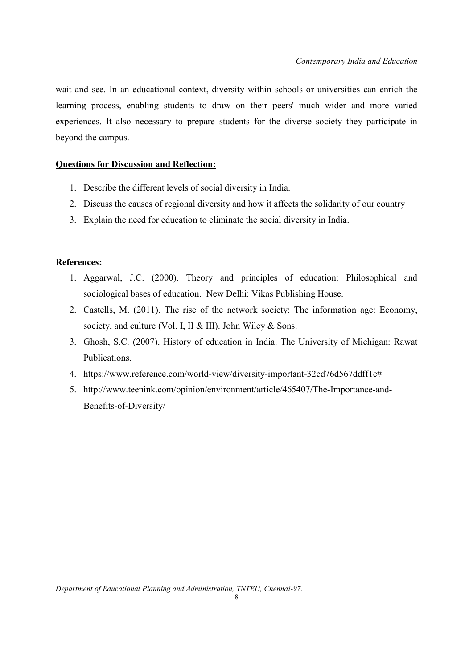wait and see. In an educational context, diversity within schools or universities can enrich the learning process, enabling students to draw on their peers' much wider and more varied experiences. It also necessary to prepare students for the diverse society they participate in beyond the campus.

## Questions for Discussion and Reflection:

- 1. Describe the different levels of social diversity in India.
- 2. Discuss the causes of regional diversity and how it affects the solidarity of our country
- 3. Explain the need for education to eliminate the social diversity in India.

## References:

- 1. Aggarwal, J.C. (2000). Theory and principles of education: Philosophical and sociological bases of education. New Delhi: Vikas Publishing House.
- 2. Castells, M. (2011). The rise of the network society: The information age: Economy, society, and culture (Vol. I, II & III). John Wiley & Sons.
- 3. Ghosh, S.C. (2007). History of education in India. The University of Michigan: Rawat Publications.
- 4. https://www.reference.com/world-view/diversity-important-32cd76d567ddff1c#
- 5. http://www.teenink.com/opinion/environment/article/465407/The-Importance-and-Benefits-of-Diversity/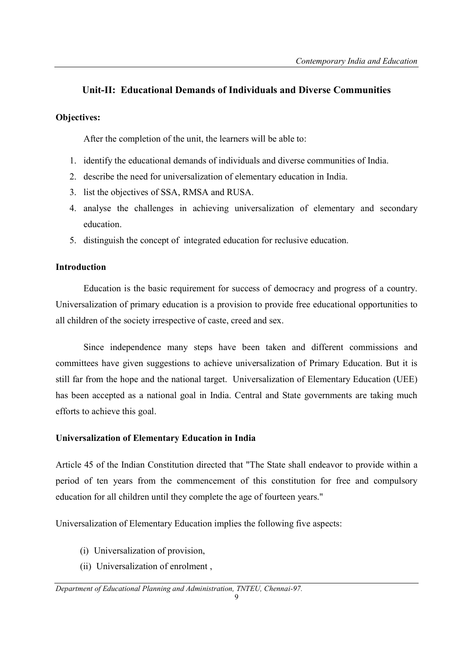## Unit-II: Educational Demands of Individuals and Diverse Communities

## Objectives:

After the completion of the unit, the learners will be able to:

- 1. identify the educational demands of individuals and diverse communities of India.
- 2. describe the need for universalization of elementary education in India.
- 3. list the objectives of SSA, RMSA and RUSA.
- 4. analyse the challenges in achieving universalization of elementary and secondary education.
- 5. distinguish the concept of integrated education for reclusive education.

## Introduction

 Education is the basic requirement for success of democracy and progress of a country. Universalization of primary education is a provision to provide free educational opportunities to all children of the society irrespective of caste, creed and sex.

 Since independence many steps have been taken and different commissions and committees have given suggestions to achieve universalization of Primary Education. But it is still far from the hope and the national target. Universalization of Elementary Education (UEE) has been accepted as a national goal in India. Central and State governments are taking much efforts to achieve this goal.

## Universalization of Elementary Education in India

Article 45 of the Indian Constitution directed that "The State shall endeavor to provide within a period of ten years from the commencement of this constitution for free and compulsory education for all children until they complete the age of fourteen years."

Universalization of Elementary Education implies the following five aspects:

- (i) Universalization of provision,
- (ii) Universalization of enrolment ,

Department of Educational Planning and Administration, TNTEU, Chennai-97.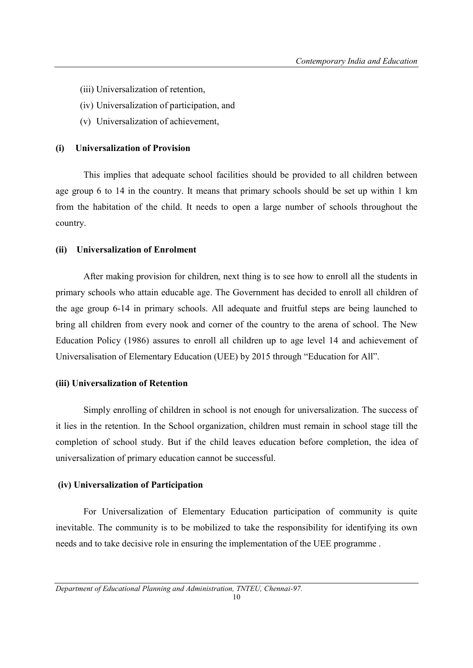- (iii) Universalization of retention,
- (iv) Universalization of participation, and
- (v) Universalization of achievement,

#### (i) Universalization of Provision

 This implies that adequate school facilities should be provided to all children between age group 6 to 14 in the country. It means that primary schools should be set up within 1 km from the habitation of the child. It needs to open a large number of schools throughout the country.

## (ii) Universalization of Enrolment

 After making provision for children, next thing is to see how to enroll all the students in primary schools who attain educable age. The Government has decided to enroll all children of the age group 6-14 in primary schools. All adequate and fruitful steps are being launched to bring all children from every nook and corner of the country to the arena of school. The New Education Policy (1986) assures to enroll all children up to age level 14 and achievement of Universalisation of Elementary Education (UEE) by 2015 through "Education for All".

## (iii) Universalization of Retention

 Simply enrolling of children in school is not enough for universalization. The success of it lies in the retention. In the School organization, children must remain in school stage till the completion of school study. But if the child leaves education before completion, the idea of universalization of primary education cannot be successful.

#### (iv) Universalization of Participation

 For Universalization of Elementary Education participation of community is quite inevitable. The community is to be mobilized to take the responsibility for identifying its own needs and to take decisive role in ensuring the implementation of the UEE programme .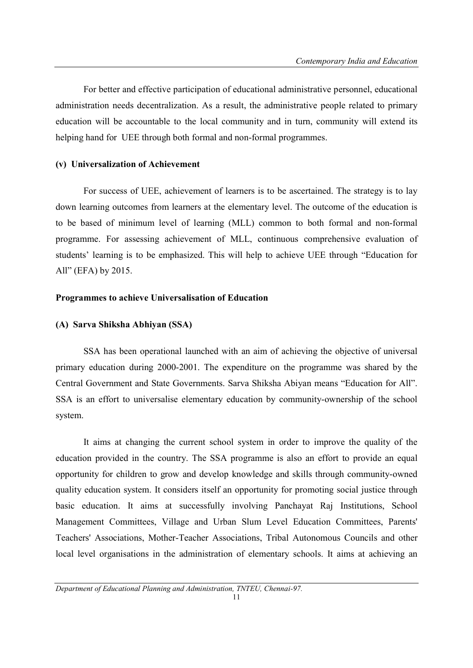For better and effective participation of educational administrative personnel, educational administration needs decentralization. As a result, the administrative people related to primary education will be accountable to the local community and in turn, community will extend its helping hand for UEE through both formal and non-formal programmes.

#### (v) Universalization of Achievement

 For success of UEE, achievement of learners is to be ascertained. The strategy is to lay down learning outcomes from learners at the elementary level. The outcome of the education is to be based of minimum level of learning (MLL) common to both formal and non-formal programme. For assessing achievement of MLL, continuous comprehensive evaluation of students' learning is to be emphasized. This will help to achieve UEE through "Education for All" (EFA) by 2015.

#### Programmes to achieve Universalisation of Education

#### (A) Sarva Shiksha Abhiyan (SSA)

 SSA has been operational launched with an aim of achieving the objective of universal primary education during 2000-2001. The expenditure on the programme was shared by the Central Government and State Governments. Sarva Shiksha Abiyan means "Education for All". SSA is an effort to universalise elementary education by community-ownership of the school system.

 It aims at changing the current school system in order to improve the quality of the education provided in the country. The SSA programme is also an effort to provide an equal opportunity for children to grow and develop knowledge and skills through community-owned quality education system. It considers itself an opportunity for promoting social justice through basic education. It aims at successfully involving Panchayat Raj Institutions, School Management Committees, Village and Urban Slum Level Education Committees, Parents' Teachers' Associations, Mother-Teacher Associations, Tribal Autonomous Councils and other local level organisations in the administration of elementary schools. It aims at achieving an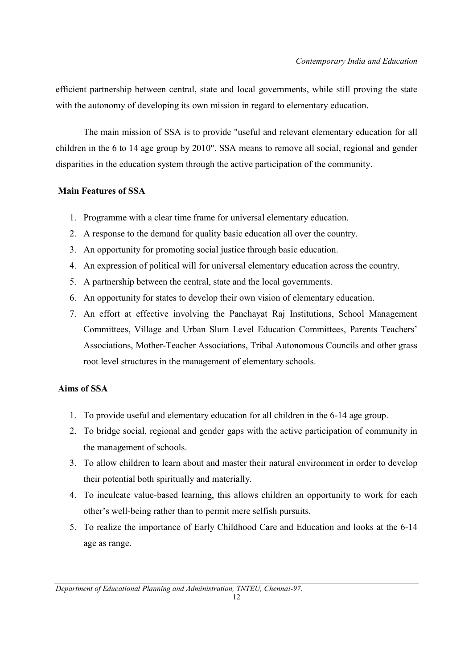efficient partnership between central, state and local governments, while still proving the state with the autonomy of developing its own mission in regard to elementary education.

 The main mission of SSA is to provide "useful and relevant elementary education for all children in the 6 to 14 age group by 2010". SSA means to remove all social, regional and gender disparities in the education system through the active participation of the community.

## Main Features of SSA

- 1. Programme with a clear time frame for universal elementary education.
- 2. A response to the demand for quality basic education all over the country.
- 3. An opportunity for promoting social justice through basic education.
- 4. An expression of political will for universal elementary education across the country.
- 5. A partnership between the central, state and the local governments.
- 6. An opportunity for states to develop their own vision of elementary education.
- 7. An effort at effective involving the Panchayat Raj Institutions, School Management Committees, Village and Urban Slum Level Education Committees, Parents Teachers' Associations, Mother-Teacher Associations, Tribal Autonomous Councils and other grass root level structures in the management of elementary schools.

## Aims of SSA

- 1. To provide useful and elementary education for all children in the 6-14 age group.
- 2. To bridge social, regional and gender gaps with the active participation of community in the management of schools.
- 3. To allow children to learn about and master their natural environment in order to develop their potential both spiritually and materially.
- 4. To inculcate value-based learning, this allows children an opportunity to work for each other's well-being rather than to permit mere selfish pursuits.
- 5. To realize the importance of Early Childhood Care and Education and looks at the 6-14 age as range.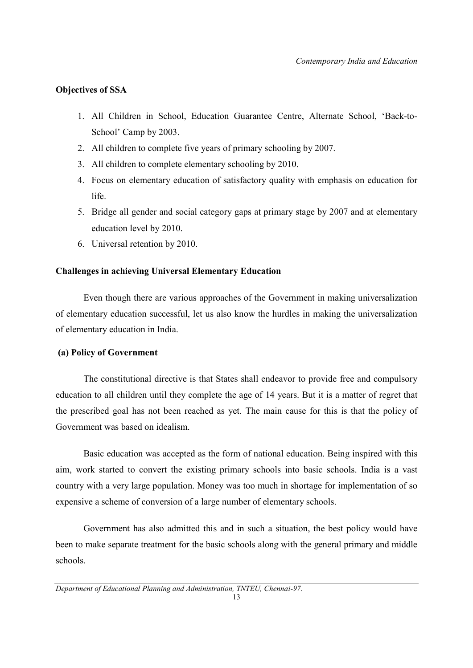## Objectives of SSA

- 1. All Children in School, Education Guarantee Centre, Alternate School, 'Back-to-School' Camp by 2003.
- 2. All children to complete five years of primary schooling by 2007.
- 3. All children to complete elementary schooling by 2010.
- 4. Focus on elementary education of satisfactory quality with emphasis on education for life.
- 5. Bridge all gender and social category gaps at primary stage by 2007 and at elementary education level by 2010.
- 6. Universal retention by 2010.

## Challenges in achieving Universal Elementary Education

 Even though there are various approaches of the Government in making universalization of elementary education successful, let us also know the hurdles in making the universalization of elementary education in India.

## (a) Policy of Government

 The constitutional directive is that States shall endeavor to provide free and compulsory education to all children until they complete the age of 14 years. But it is a matter of regret that the prescribed goal has not been reached as yet. The main cause for this is that the policy of Government was based on idealism.

 Basic education was accepted as the form of national education. Being inspired with this aim, work started to convert the existing primary schools into basic schools. India is a vast country with a very large population. Money was too much in shortage for implementation of so expensive a scheme of conversion of a large number of elementary schools.

 Government has also admitted this and in such a situation, the best policy would have been to make separate treatment for the basic schools along with the general primary and middle schools.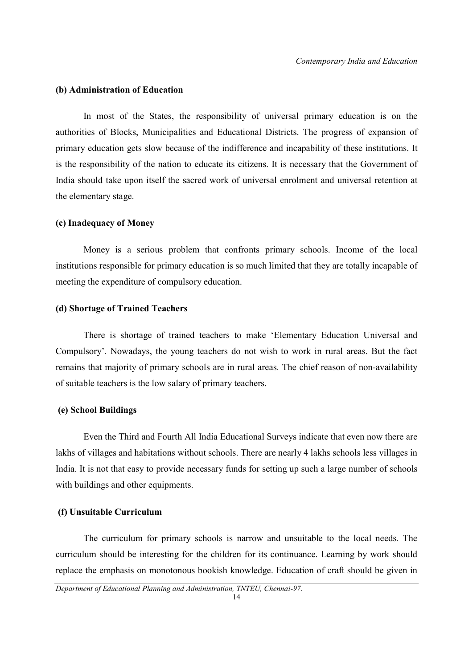#### (b) Administration of Education

 In most of the States, the responsibility of universal primary education is on the authorities of Blocks, Municipalities and Educational Districts. The progress of expansion of primary education gets slow because of the indifference and incapability of these institutions. It is the responsibility of the nation to educate its citizens. It is necessary that the Government of India should take upon itself the sacred work of universal enrolment and universal retention at the elementary stage.

#### (c) Inadequacy of Money

 Money is a serious problem that confronts primary schools. Income of the local institutions responsible for primary education is so much limited that they are totally incapable of meeting the expenditure of compulsory education.

#### (d) Shortage of Trained Teachers

 There is shortage of trained teachers to make 'Elementary Education Universal and Compulsory'. Nowadays, the young teachers do not wish to work in rural areas. But the fact remains that majority of primary schools are in rural areas. The chief reason of non-availability of suitable teachers is the low salary of primary teachers.

#### (e) School Buildings

 Even the Third and Fourth All India Educational Surveys indicate that even now there are lakhs of villages and habitations without schools. There are nearly 4 lakhs schools less villages in India. It is not that easy to provide necessary funds for setting up such a large number of schools with buildings and other equipments.

#### (f) Unsuitable Curriculum

 The curriculum for primary schools is narrow and unsuitable to the local needs. The curriculum should be interesting for the children for its continuance. Learning by work should replace the emphasis on monotonous bookish knowledge. Education of craft should be given in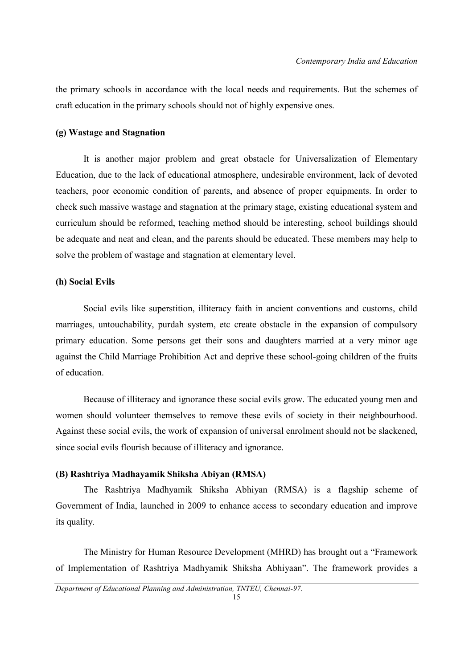the primary schools in accordance with the local needs and requirements. But the schemes of craft education in the primary schools should not of highly expensive ones.

#### (g) Wastage and Stagnation

 It is another major problem and great obstacle for Universalization of Elementary Education, due to the lack of educational atmosphere, undesirable environment, lack of devoted teachers, poor economic condition of parents, and absence of proper equipments. In order to check such massive wastage and stagnation at the primary stage, existing educational system and curriculum should be reformed, teaching method should be interesting, school buildings should be adequate and neat and clean, and the parents should be educated. These members may help to solve the problem of wastage and stagnation at elementary level.

#### (h) Social Evils

 Social evils like superstition, illiteracy faith in ancient conventions and customs, child marriages, untouchability, purdah system, etc create obstacle in the expansion of compulsory primary education. Some persons get their sons and daughters married at a very minor age against the Child Marriage Prohibition Act and deprive these school-going children of the fruits of education.

 Because of illiteracy and ignorance these social evils grow. The educated young men and women should volunteer themselves to remove these evils of society in their neighbourhood. Against these social evils, the work of expansion of universal enrolment should not be slackened, since social evils flourish because of illiteracy and ignorance.

### (B) Rashtriya Madhayamik Shiksha Abiyan (RMSA)

The Rashtriya Madhyamik Shiksha Abhiyan (RMSA) is a flagship scheme of Government of India, launched in 2009 to enhance access to secondary education and improve its quality.

The Ministry for Human Resource Development (MHRD) has brought out a "Framework of Implementation of Rashtriya Madhyamik Shiksha Abhiyaan". The framework provides a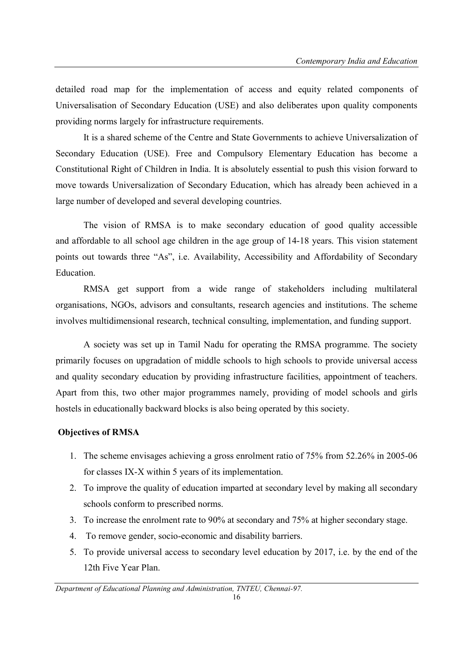detailed road map for the implementation of access and equity related components of Universalisation of Secondary Education (USE) and also deliberates upon quality components providing norms largely for infrastructure requirements.

 It is a shared scheme of the Centre and State Governments to achieve Universalization of Secondary Education (USE). Free and Compulsory Elementary Education has become a Constitutional Right of Children in India. It is absolutely essential to push this vision forward to move towards Universalization of Secondary Education, which has already been achieved in a large number of developed and several developing countries.

 The vision of RMSA is to make secondary education of good quality accessible and affordable to all school age children in the age group of 14-18 years. This vision statement points out towards three "As", i.e. Availability, Accessibility and Affordability of Secondary Education.

 RMSA get support from a wide range of stakeholders including multilateral organisations, NGOs, advisors and consultants, research agencies and institutions. The scheme involves multidimensional research, technical consulting, implementation, and funding support.

 A society was set up in Tamil Nadu for operating the RMSA programme. The society primarily focuses on upgradation of middle schools to high schools to provide universal access and quality secondary education by providing infrastructure facilities, appointment of teachers. Apart from this, two other major programmes namely, providing of model schools and girls hostels in educationally backward blocks is also being operated by this society.

### Objectives of RMSA

- 1. The scheme envisages achieving a gross enrolment ratio of 75% from 52.26% in 2005-06 for classes IX-X within 5 years of its implementation.
- 2. To improve the quality of education imparted at secondary level by making all secondary schools conform to prescribed norms.
- 3. To increase the enrolment rate to 90% at secondary and 75% at higher secondary stage.
- 4. To remove gender, socio-economic and disability barriers.
- 5. To provide universal access to secondary level education by 2017, i.e. by the end of the 12th Five Year Plan.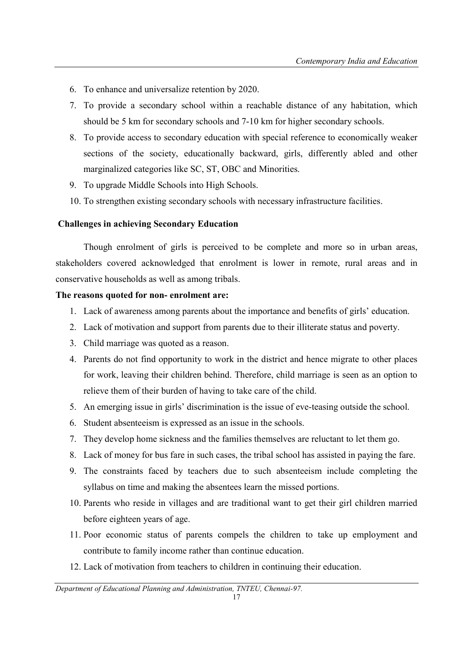- 6. To enhance and universalize retention by 2020.
- 7. To provide a secondary school within a reachable distance of any habitation, which should be 5 km for secondary schools and 7-10 km for higher secondary schools.
- 8. To provide access to secondary education with special reference to economically weaker sections of the society, educationally backward, girls, differently abled and other marginalized categories like SC, ST, OBC and Minorities.
- 9. To upgrade Middle Schools into High Schools.
- 10. To strengthen existing secondary schools with necessary infrastructure facilities.

## Challenges in achieving Secondary Education

 Though enrolment of girls is perceived to be complete and more so in urban areas, stakeholders covered acknowledged that enrolment is lower in remote, rural areas and in conservative households as well as among tribals.

### The reasons quoted for non- enrolment are:

- 1. Lack of awareness among parents about the importance and benefits of girls' education.
- 2. Lack of motivation and support from parents due to their illiterate status and poverty.
- 3. Child marriage was quoted as a reason.
- 4. Parents do not find opportunity to work in the district and hence migrate to other places for work, leaving their children behind. Therefore, child marriage is seen as an option to relieve them of their burden of having to take care of the child.
- 5. An emerging issue in girls' discrimination is the issue of eve-teasing outside the school.
- 6. Student absenteeism is expressed as an issue in the schools.
- 7. They develop home sickness and the families themselves are reluctant to let them go.
- 8. Lack of money for bus fare in such cases, the tribal school has assisted in paying the fare.
- 9. The constraints faced by teachers due to such absenteeism include completing the syllabus on time and making the absentees learn the missed portions.
- 10. Parents who reside in villages and are traditional want to get their girl children married before eighteen years of age.
- 11. Poor economic status of parents compels the children to take up employment and contribute to family income rather than continue education.
- 12. Lack of motivation from teachers to children in continuing their education.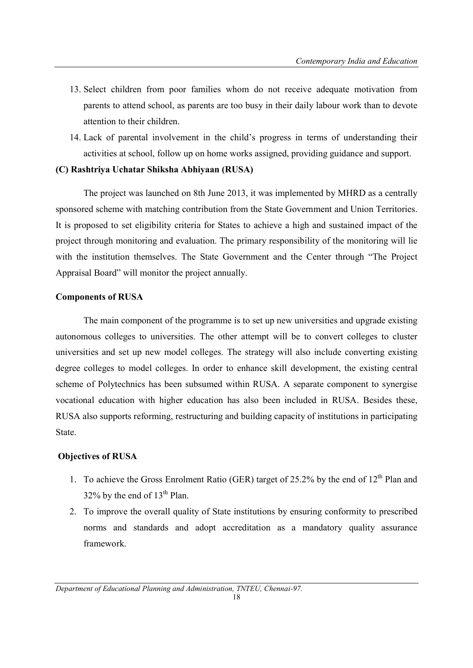- 13. Select children from poor families whom do not receive adequate motivation from parents to attend school, as parents are too busy in their daily labour work than to devote attention to their children.
- 14. Lack of parental involvement in the child's progress in terms of understanding their activities at school, follow up on home works assigned, providing guidance and support.

## (C) Rashtriya Uchatar Shiksha Abhiyaan (RUSA)

 The project was launched on 8th June 2013, it was implemented by MHRD as a centrally sponsored scheme with matching contribution from the State Government and Union Territories. It is proposed to set eligibility criteria for States to achieve a high and sustained impact of the project through monitoring and evaluation. The primary responsibility of the monitoring will lie with the institution themselves. The State Government and the Center through "The Project Appraisal Board" will monitor the project annually.

#### Components of RUSA

 The main component of the programme is to set up new universities and upgrade existing autonomous colleges to universities. The other attempt will be to convert colleges to cluster universities and set up new model colleges. The strategy will also include converting existing degree colleges to model colleges. In order to enhance skill development, the existing central scheme of Polytechnics has been subsumed within RUSA. A separate component to synergise vocational education with higher education has also been included in RUSA. Besides these, RUSA also supports reforming, restructuring and building capacity of institutions in participating State.

## Objectives of RUSA

- 1. To achieve the Gross Enrolment Ratio (GER) target of 25.2% by the end of  $12<sup>th</sup>$  Plan and  $32\%$  by the end of  $13<sup>th</sup>$  Plan.
- 2. To improve the overall quality of State institutions by ensuring conformity to prescribed norms and standards and adopt accreditation as a mandatory quality assurance framework.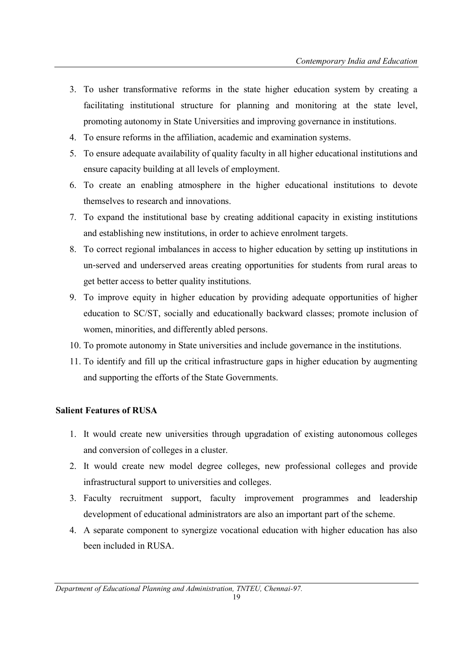- 3. To usher transformative reforms in the state higher education system by creating a facilitating institutional structure for planning and monitoring at the state level, promoting autonomy in State Universities and improving governance in institutions.
- 4. To ensure reforms in the affiliation, academic and examination systems.
- 5. To ensure adequate availability of quality faculty in all higher educational institutions and ensure capacity building at all levels of employment.
- 6. To create an enabling atmosphere in the higher educational institutions to devote themselves to research and innovations.
- 7. To expand the institutional base by creating additional capacity in existing institutions and establishing new institutions, in order to achieve enrolment targets.
- 8. To correct regional imbalances in access to higher education by setting up institutions in un‐served and underserved areas creating opportunities for students from rural areas to get better access to better quality institutions.
- 9. To improve equity in higher education by providing adequate opportunities of higher education to SC/ST, socially and educationally backward classes; promote inclusion of women, minorities, and differently abled persons.
- 10. To promote autonomy in State universities and include governance in the institutions.
- 11. To identify and fill up the critical infrastructure gaps in higher education by augmenting and supporting the efforts of the State Governments.

## Salient Features of RUSA

- 1. It would create new universities through upgradation of existing autonomous colleges and conversion of colleges in a cluster.
- 2. It would create new model degree colleges, new professional colleges and provide infrastructural support to universities and colleges.
- 3. Faculty recruitment support, faculty improvement programmes and leadership development of educational administrators are also an important part of the scheme.
- 4. A separate component to synergize vocational education with higher education has also been included in RUSA.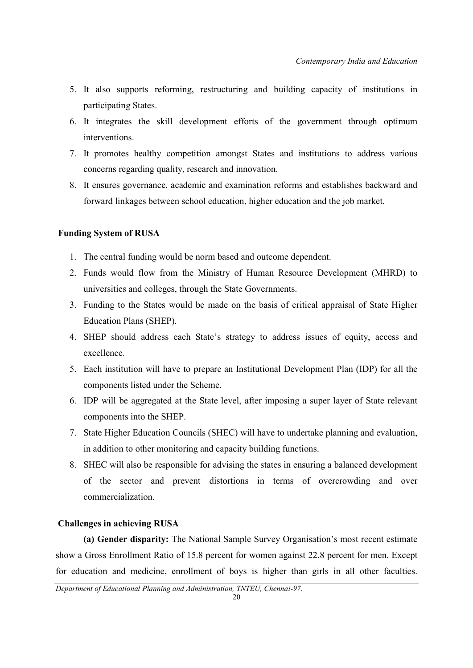- 5. It also supports reforming, restructuring and building capacity of institutions in participating States.
- 6. It integrates the skill development efforts of the government through optimum interventions.
- 7. It promotes healthy competition amongst States and institutions to address various concerns regarding quality, research and innovation.
- 8. It ensures governance, academic and examination reforms and establishes backward and forward linkages between school education, higher education and the job market.

### Funding System of RUSA

- 1. The central funding would be norm based and outcome dependent.
- 2. Funds would flow from the Ministry of Human Resource Development (MHRD) to universities and colleges, through the State Governments.
- 3. Funding to the States would be made on the basis of critical appraisal of State Higher Education Plans (SHEP).
- 4. SHEP should address each State's strategy to address issues of equity, access and excellence.
- 5. Each institution will have to prepare an Institutional Development Plan (IDP) for all the components listed under the Scheme.
- 6. IDP will be aggregated at the State level, after imposing a super layer of State relevant components into the SHEP.
- 7. State Higher Education Councils (SHEC) will have to undertake planning and evaluation, in addition to other monitoring and capacity building functions.
- 8. SHEC will also be responsible for advising the states in ensuring a balanced development of the sector and prevent distortions in terms of overcrowding and over commercialization.

#### Challenges in achieving RUSA

 (a) Gender disparity: The National Sample Survey Organisation's most recent estimate show a Gross Enrollment Ratio of 15.8 percent for women against 22.8 percent for men. Except for education and medicine, enrollment of boys is higher than girls in all other faculties.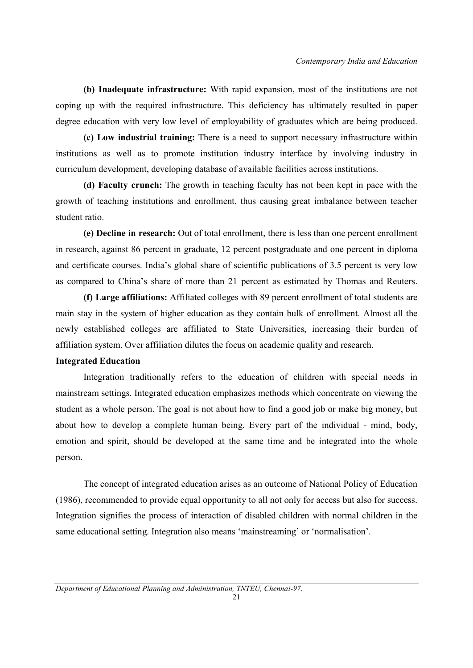(b) Inadequate infrastructure: With rapid expansion, most of the institutions are not coping up with the required infrastructure. This deficiency has ultimately resulted in paper degree education with very low level of employability of graduates which are being produced.

 (c) Low industrial training: There is a need to support necessary infrastructure within institutions as well as to promote institution industry interface by involving industry in curriculum development, developing database of available facilities across institutions.

 (d) Faculty crunch: The growth in teaching faculty has not been kept in pace with the growth of teaching institutions and enrollment, thus causing great imbalance between teacher student ratio.

 (e) Decline in research: Out of total enrollment, there is less than one percent enrollment in research, against 86 percent in graduate, 12 percent postgraduate and one percent in diploma and certificate courses. India's global share of scientific publications of 3.5 percent is very low as compared to China's share of more than 21 percent as estimated by Thomas and Reuters.

 (f) Large affiliations: Affiliated colleges with 89 percent enrollment of total students are main stay in the system of higher education as they contain bulk of enrollment. Almost all the newly established colleges are affiliated to State Universities, increasing their burden of affiliation system. Over affiliation dilutes the focus on academic quality and research.

## Integrated Education

 Integration traditionally refers to the education of children with special needs in mainstream settings. Integrated education emphasizes methods which concentrate on viewing the student as a whole person. The goal is not about how to find a good job or make big money, but about how to develop a complete human being. Every part of the individual - mind, body, emotion and spirit, should be developed at the same time and be integrated into the whole person.

 The concept of integrated education arises as an outcome of National Policy of Education (1986), recommended to provide equal opportunity to all not only for access but also for success. Integration signifies the process of interaction of disabled children with normal children in the same educational setting. Integration also means 'mainstreaming' or 'normalisation'.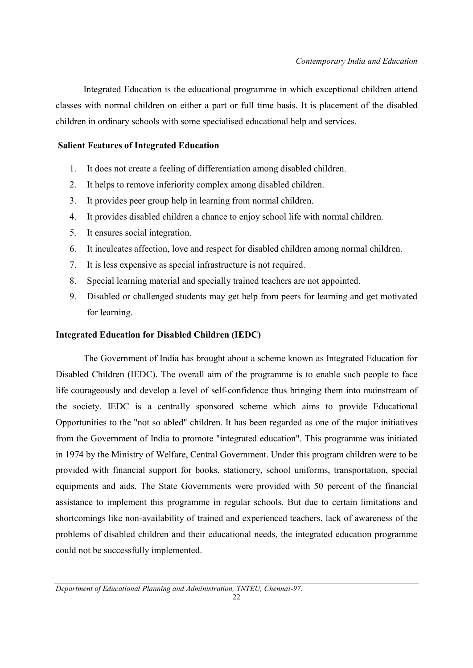Integrated Education is the educational programme in which exceptional children attend classes with normal children on either a part or full time basis. It is placement of the disabled children in ordinary schools with some specialised educational help and services.

## Salient Features of Integrated Education

- 1. It does not create a feeling of differentiation among disabled children.
- 2. It helps to remove inferiority complex among disabled children.
- 3. It provides peer group help in learning from normal children.
- 4. It provides disabled children a chance to enjoy school life with normal children.
- 5. It ensures social integration.
- 6. It inculcates affection, love and respect for disabled children among normal children.
- 7. It is less expensive as special infrastructure is not required.
- 8. Special learning material and specially trained teachers are not appointed.
- 9. Disabled or challenged students may get help from peers for learning and get motivated for learning.

## Integrated Education for Disabled Children (IEDC)

 The Government of India has brought about a scheme known as Integrated Education for Disabled Children (IEDC). The overall aim of the programme is to enable such people to face life courageously and develop a level of self-confidence thus bringing them into mainstream of the society. IEDC is a centrally sponsored scheme which aims to provide Educational Opportunities to the "not so abled" children. It has been regarded as one of the major initiatives from the Government of India to promote "integrated education". This programme was initiated in 1974 by the Ministry of Welfare, Central Government. Under this program children were to be provided with financial support for books, stationery, school uniforms, transportation, special equipments and aids. The State Governments were provided with 50 percent of the financial assistance to implement this programme in regular schools. But due to certain limitations and shortcomings like non-availability of trained and experienced teachers, lack of awareness of the problems of disabled children and their educational needs, the integrated education programme could not be successfully implemented.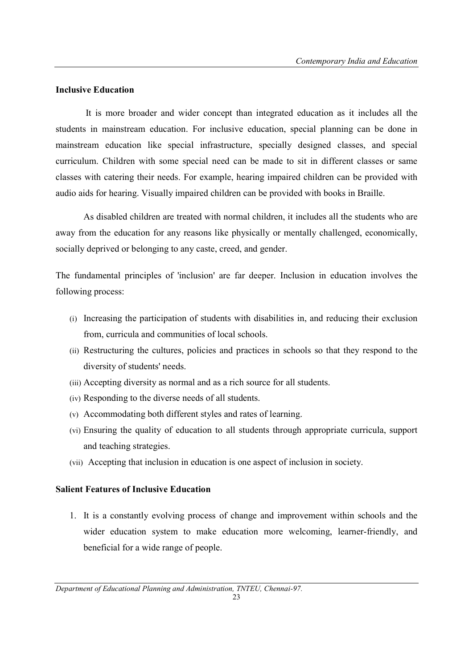## Inclusive Education

 It is more broader and wider concept than integrated education as it includes all the students in mainstream education. For inclusive education, special planning can be done in mainstream education like special infrastructure, specially designed classes, and special curriculum. Children with some special need can be made to sit in different classes or same classes with catering their needs. For example, hearing impaired children can be provided with audio aids for hearing. Visually impaired children can be provided with books in Braille.

 As disabled children are treated with normal children, it includes all the students who are away from the education for any reasons like physically or mentally challenged, economically, socially deprived or belonging to any caste, creed, and gender.

The fundamental principles of 'inclusion' are far deeper. Inclusion in education involves the following process:

- (i) Increasing the participation of students with disabilities in, and reducing their exclusion from, curricula and communities of local schools.
- (ii) Restructuring the cultures, policies and practices in schools so that they respond to the diversity of students' needs.
- (iii) Accepting diversity as normal and as a rich source for all students.
- (iv) Responding to the diverse needs of all students.
- (v) Accommodating both different styles and rates of learning.
- (vi) Ensuring the quality of education to all students through appropriate curricula, support and teaching strategies.
- (vii) Accepting that inclusion in education is one aspect of inclusion in society.

## Salient Features of Inclusive Education

1. It is a constantly evolving process of change and improvement within schools and the wider education system to make education more welcoming, learner-friendly, and beneficial for a wide range of people.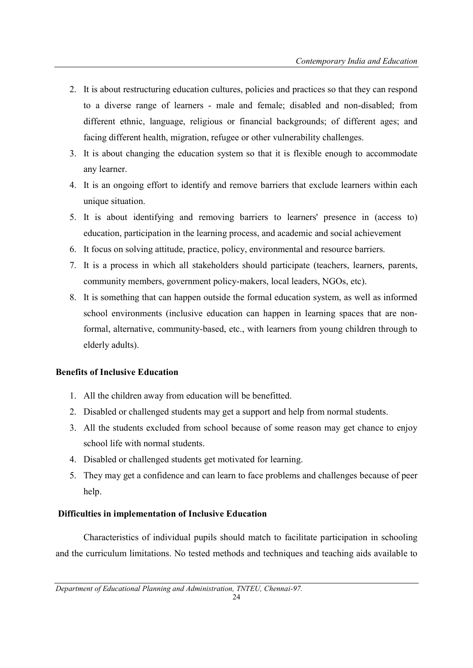- 2. It is about restructuring education cultures, policies and practices so that they can respond to a diverse range of learners - male and female; disabled and non-disabled; from different ethnic, language, religious or financial backgrounds; of different ages; and facing different health, migration, refugee or other vulnerability challenges.
- 3. It is about changing the education system so that it is flexible enough to accommodate any learner.
- 4. It is an ongoing effort to identify and remove barriers that exclude learners within each unique situation.
- 5. It is about identifying and removing barriers to learners' presence in (access to) education, participation in the learning process, and academic and social achievement
- 6. It focus on solving attitude, practice, policy, environmental and resource barriers.
- 7. It is a process in which all stakeholders should participate (teachers, learners, parents, community members, government policy-makers, local leaders, NGOs, etc).
- 8. It is something that can happen outside the formal education system, as well as informed school environments (inclusive education can happen in learning spaces that are nonformal, alternative, community-based, etc., with learners from young children through to elderly adults).

## Benefits of Inclusive Education

- 1. All the children away from education will be benefitted.
- 2. Disabled or challenged students may get a support and help from normal students.
- 3. All the students excluded from school because of some reason may get chance to enjoy school life with normal students.
- 4. Disabled or challenged students get motivated for learning.
- 5. They may get a confidence and can learn to face problems and challenges because of peer help.

## Difficulties in implementation of Inclusive Education

 Characteristics of individual pupils should match to facilitate participation in schooling and the curriculum limitations. No tested methods and techniques and teaching aids available to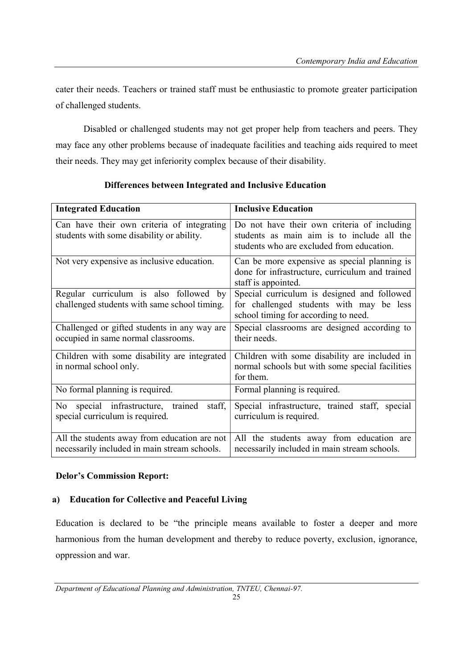cater their needs. Teachers or trained staff must be enthusiastic to promote greater participation of challenged students.

 Disabled or challenged students may not get proper help from teachers and peers. They may face any other problems because of inadequate facilities and teaching aids required to meet their needs. They may get inferiority complex because of their disability.

| <b>Integrated Education</b>                                                                  | <b>Inclusive Education</b>                                                                                                             |
|----------------------------------------------------------------------------------------------|----------------------------------------------------------------------------------------------------------------------------------------|
| Can have their own criteria of integrating<br>students with some disability or ability.      | Do not have their own criteria of including<br>students as main aim is to include all the<br>students who are excluded from education. |
| Not very expensive as inclusive education.                                                   | Can be more expensive as special planning is<br>done for infrastructure, curriculum and trained<br>staff is appointed.                 |
| Regular curriculum is also followed by<br>challenged students with same school timing.       | Special curriculum is designed and followed<br>for challenged students with may be less<br>school timing for according to need.        |
| Challenged or gifted students in any way are<br>occupied in same normal classrooms.          | Special classrooms are designed according to<br>their needs.                                                                           |
| Children with some disability are integrated<br>in normal school only.                       | Children with some disability are included in<br>normal schools but with some special facilities<br>for them.                          |
| No formal planning is required.                                                              | Formal planning is required.                                                                                                           |
| special infrastructure, trained<br>staff,<br>No 1<br>special curriculum is required.         | Special infrastructure, trained staff, special<br>curriculum is required.                                                              |
| All the students away from education are not<br>necessarily included in main stream schools. | All the students away from education are<br>necessarily included in main stream schools.                                               |

## Differences between Integrated and Inclusive Education

## Delor's Commission Report:

## a) Education for Collective and Peaceful Living

Education is declared to be "the principle means available to foster a deeper and more harmonious from the human development and thereby to reduce poverty, exclusion, ignorance, oppression and war.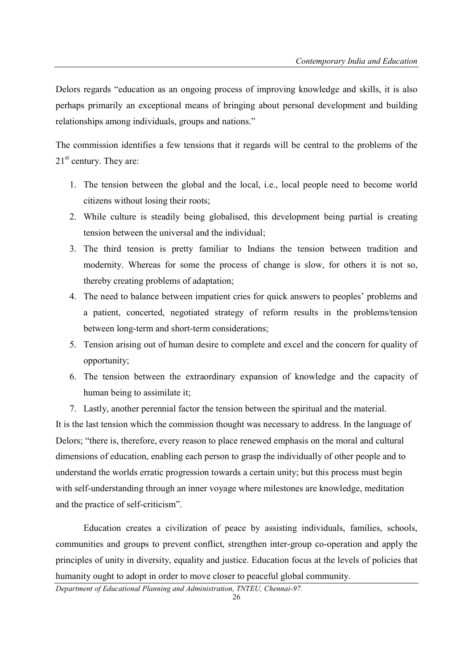Delors regards "education as an ongoing process of improving knowledge and skills, it is also perhaps primarily an exceptional means of bringing about personal development and building relationships among individuals, groups and nations."

The commission identifies a few tensions that it regards will be central to the problems of the  $21<sup>st</sup>$  century. They are:

- 1. The tension between the global and the local, i.e., local people need to become world citizens without losing their roots;
- 2. While culture is steadily being globalised, this development being partial is creating tension between the universal and the individual;
- 3. The third tension is pretty familiar to Indians the tension between tradition and modernity. Whereas for some the process of change is slow, for others it is not so, thereby creating problems of adaptation;
- 4. The need to balance between impatient cries for quick answers to peoples' problems and a patient, concerted, negotiated strategy of reform results in the problems/tension between long-term and short-term considerations;
- 5. Tension arising out of human desire to complete and excel and the concern for quality of opportunity;
- 6. The tension between the extraordinary expansion of knowledge and the capacity of human being to assimilate it;
- 7. Lastly, another perennial factor the tension between the spiritual and the material.

It is the last tension which the commission thought was necessary to address. In the language of Delors; "there is, therefore, every reason to place renewed emphasis on the moral and cultural dimensions of education, enabling each person to grasp the individually of other people and to understand the worlds erratic progression towards a certain unity; but this process must begin with self-understanding through an inner voyage where milestones are knowledge, meditation and the practice of self-criticism".

 Education creates a civilization of peace by assisting individuals, families, schools, communities and groups to prevent conflict, strengthen inter-group co-operation and apply the principles of unity in diversity, equality and justice. Education focus at the levels of policies that humanity ought to adopt in order to move closer to peaceful global community.

Department of Educational Planning and Administration, TNTEU, Chennai-97.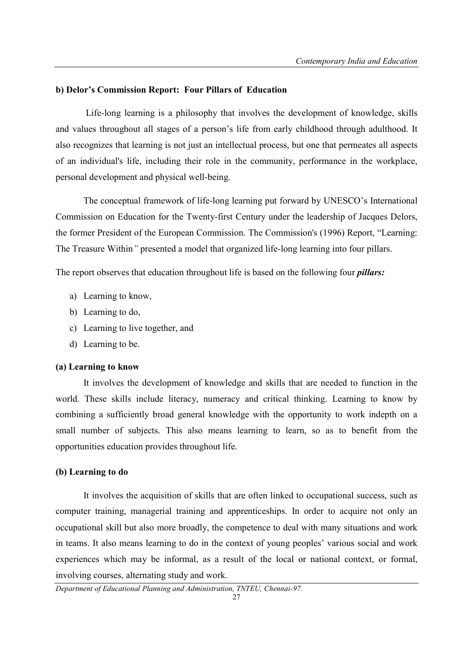### b) Delor's Commission Report: Four Pillars of Education

 Life-long learning is a philosophy that involves the development of knowledge, skills and values throughout all stages of a person's life from early childhood through adulthood. It also recognizes that learning is not just an intellectual process, but one that permeates all aspects of an individual's life, including their role in the community, performance in the workplace, personal development and physical well-being.

 The conceptual framework of life-long learning put forward by UNESCO's International Commission on Education for the Twenty-first Century under the leadership of Jacques Delors, the former President of the European Commission. The Commission's (1996) Report, "Learning: The Treasure Within" presented a model that organized life-long learning into four pillars.

The report observes that education throughout life is based on the following four *pillars*:

- a) Learning to know,
- b) Learning to do,
- c) Learning to live together, and
- d) Learning to be.

#### (a) Learning to know

 It involves the development of knowledge and skills that are needed to function in the world. These skills include literacy, numeracy and critical thinking. Learning to know by combining a sufficiently broad general knowledge with the opportunity to work indepth on a small number of subjects. This also means learning to learn, so as to benefit from the opportunities education provides throughout life.

### (b) Learning to do

It involves the acquisition of skills that are often linked to occupational success, such as computer training, managerial training and apprenticeships. In order to acquire not only an occupational skill but also more broadly, the competence to deal with many situations and work in teams. It also means learning to do in the context of young peoples' various social and work experiences which may be informal, as a result of the local or national context, or formal, involving courses, alternating study and work.

Department of Educational Planning and Administration, TNTEU, Chennai-97.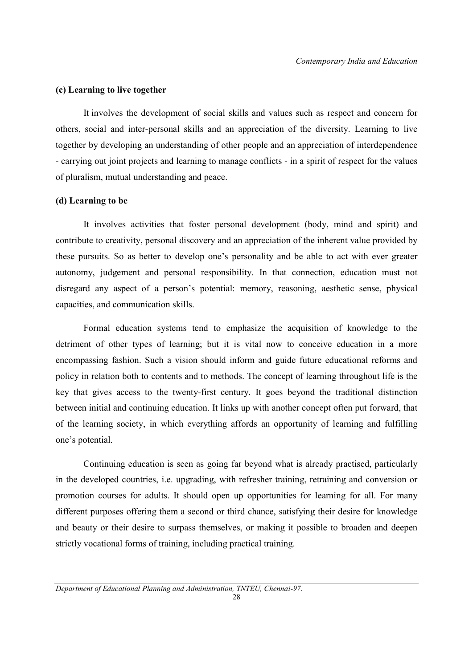## (c) Learning to live together

It involves the development of social skills and values such as respect and concern for others, social and inter-personal skills and an appreciation of the diversity. Learning to live together by developing an understanding of other people and an appreciation of interdependence - carrying out joint projects and learning to manage conflicts - in a spirit of respect for the values of pluralism, mutual understanding and peace.

### (d) Learning to be

It involves activities that foster personal development (body, mind and spirit) and contribute to creativity, personal discovery and an appreciation of the inherent value provided by these pursuits. So as better to develop one's personality and be able to act with ever greater autonomy, judgement and personal responsibility. In that connection, education must not disregard any aspect of a person's potential: memory, reasoning, aesthetic sense, physical capacities, and communication skills.

Formal education systems tend to emphasize the acquisition of knowledge to the detriment of other types of learning; but it is vital now to conceive education in a more encompassing fashion. Such a vision should inform and guide future educational reforms and policy in relation both to contents and to methods. The concept of learning throughout life is the key that gives access to the twenty-first century. It goes beyond the traditional distinction between initial and continuing education. It links up with another concept often put forward, that of the learning society, in which everything affords an opportunity of learning and fulfilling one's potential.

 Continuing education is seen as going far beyond what is already practised, particularly in the developed countries, i.e. upgrading, with refresher training, retraining and conversion or promotion courses for adults. It should open up opportunities for learning for all. For many different purposes offering them a second or third chance, satisfying their desire for knowledge and beauty or their desire to surpass themselves, or making it possible to broaden and deepen strictly vocational forms of training, including practical training.

Department of Educational Planning and Administration, TNTEU, Chennai-97.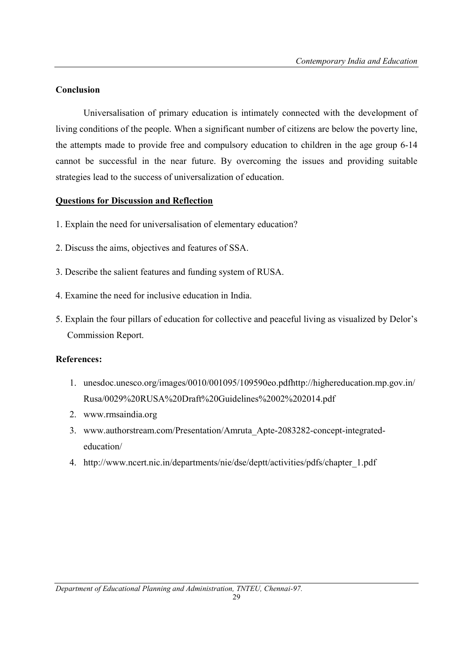## Conclusion

 Universalisation of primary education is intimately connected with the development of living conditions of the people. When a significant number of citizens are below the poverty line, the attempts made to provide free and compulsory education to children in the age group 6-14 cannot be successful in the near future. By overcoming the issues and providing suitable strategies lead to the success of universalization of education.

## Questions for Discussion and Reflection

- 1. Explain the need for universalisation of elementary education?
- 2. Discuss the aims, objectives and features of SSA.
- 3. Describe the salient features and funding system of RUSA.
- 4. Examine the need for inclusive education in India.
- 5. Explain the four pillars of education for collective and peaceful living as visualized by Delor's Commission Report.

## References:

- 1. unesdoc.unesco.org/images/0010/001095/109590eo.pdfhttp://highereducation.mp.gov.in/ Rusa/0029%20RUSA%20Draft%20Guidelines%2002%202014.pdf
- 2. www.rmsaindia.org
- 3. www.authorstream.com/Presentation/Amruta\_Apte-2083282-concept-integratededucation/
- 4. http://www.ncert.nic.in/departments/nie/dse/deptt/activities/pdfs/chapter\_1.pdf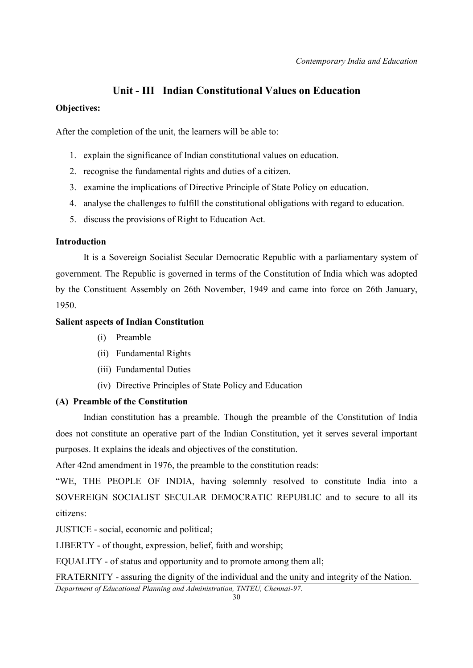## Unit - III Indian Constitutional Values on Education

## Objectives:

After the completion of the unit, the learners will be able to:

- 1. explain the significance of Indian constitutional values on education.
- 2. recognise the fundamental rights and duties of a citizen.
- 3. examine the implications of Directive Principle of State Policy on education.
- 4. analyse the challenges to fulfill the constitutional obligations with regard to education.
- 5. discuss the provisions of Right to Education Act.

## Introduction

 It is a Sovereign Socialist Secular Democratic Republic with a parliamentary system of government. The Republic is governed in terms of the Constitution of India which was adopted by the Constituent Assembly on 26th November, 1949 and came into force on 26th January, 1950.

## Salient aspects of Indian Constitution

- (i) Preamble
- (ii) Fundamental Rights
- (iii) Fundamental Duties
- (iv) Directive Principles of State Policy and Education

## (A) Preamble of the Constitution

 Indian constitution has a preamble. Though the preamble of the Constitution of India does not constitute an operative part of the Indian Constitution, yet it serves several important purposes. It explains the ideals and objectives of the constitution.

After 42nd amendment in 1976, the preamble to the constitution reads:

"WE, THE PEOPLE OF INDIA, having solemnly resolved to constitute India into a SOVEREIGN SOCIALIST SECULAR DEMOCRATIC REPUBLIC and to secure to all its citizens:

JUSTICE - social, economic and political;

LIBERTY - of thought, expression, belief, faith and worship;

EQUALITY - of status and opportunity and to promote among them all;

Department of Educational Planning and Administration, TNTEU, Chennai-97. FRATERNITY - assuring the dignity of the individual and the unity and integrity of the Nation.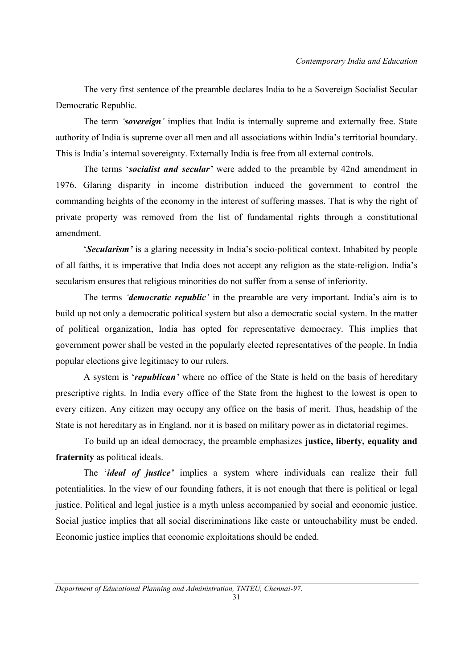The very first sentence of the preamble declares India to be a Sovereign Socialist Secular Democratic Republic.

The term 'sovereign' implies that India is internally supreme and externally free. State authority of India is supreme over all men and all associations within India's territorial boundary. This is India's internal sovereignty. Externally India is free from all external controls.

The terms 'socialist and secular' were added to the preamble by 42nd amendment in 1976. Glaring disparity in income distribution induced the government to control the commanding heights of the economy in the interest of suffering masses. That is why the right of private property was removed from the list of fundamental rights through a constitutional amendment.

 'Secularism' is a glaring necessity in India's socio-political context. Inhabited by people of all faiths, it is imperative that India does not accept any religion as the state-religion. India's secularism ensures that religious minorities do not suffer from a sense of inferiority.

The terms *'democratic republic'* in the preamble are very important. India's aim is to build up not only a democratic political system but also a democratic social system. In the matter of political organization, India has opted for representative democracy. This implies that government power shall be vested in the popularly elected representatives of the people. In India popular elections give legitimacy to our rulers.

A system is 'republican' where no office of the State is held on the basis of hereditary prescriptive rights. In India every office of the State from the highest to the lowest is open to every citizen. Any citizen may occupy any office on the basis of merit. Thus, headship of the State is not hereditary as in England, nor it is based on military power as in dictatorial regimes.

 To build up an ideal democracy, the preamble emphasizes justice, liberty, equality and fraternity as political ideals.

The *'ideal of justice'* implies a system where individuals can realize their full potentialities. In the view of our founding fathers, it is not enough that there is political or legal justice. Political and legal justice is a myth unless accompanied by social and economic justice. Social justice implies that all social discriminations like caste or untouchability must be ended. Economic justice implies that economic exploitations should be ended.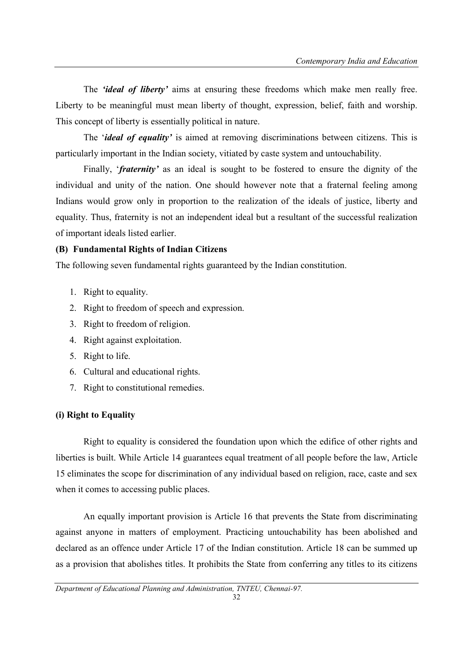The *'ideal of liberty'* aims at ensuring these freedoms which make men really free. Liberty to be meaningful must mean liberty of thought, expression, belief, faith and worship. This concept of liberty is essentially political in nature.

The *'ideal of equality'* is aimed at removing discriminations between citizens. This is particularly important in the Indian society, vitiated by caste system and untouchability.

Finally, *'fraternity'* as an ideal is sought to be fostered to ensure the dignity of the individual and unity of the nation. One should however note that a fraternal feeling among Indians would grow only in proportion to the realization of the ideals of justice, liberty and equality. Thus, fraternity is not an independent ideal but a resultant of the successful realization of important ideals listed earlier.

### (B) Fundamental Rights of Indian Citizens

The following seven fundamental rights guaranteed by the Indian constitution.

- 1. Right to equality.
- 2. Right to freedom of speech and expression.
- 3. Right to freedom of religion.
- 4. Right against exploitation.
- 5. Right to life.
- 6. Cultural and educational rights.
- 7. Right to constitutional remedies.

## (i) Right to Equality

 Right to equality is considered the foundation upon which the edifice of other rights and liberties is built. While Article 14 guarantees equal treatment of all people before the law, Article 15 eliminates the scope for discrimination of any individual based on religion, race, caste and sex when it comes to accessing public places.

 An equally important provision is Article 16 that prevents the State from discriminating against anyone in matters of employment. Practicing untouchability has been abolished and declared as an offence under Article 17 of the Indian constitution. Article 18 can be summed up as a provision that abolishes titles. It prohibits the State from conferring any titles to its citizens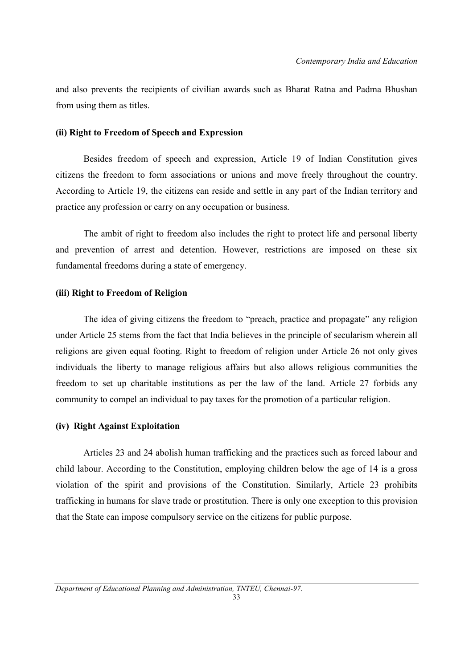and also prevents the recipients of civilian awards such as Bharat Ratna and Padma Bhushan from using them as titles.

#### (ii) Right to Freedom of Speech and Expression

 Besides freedom of speech and expression, Article 19 of Indian Constitution gives citizens the freedom to form associations or unions and move freely throughout the country. According to Article 19, the citizens can reside and settle in any part of the Indian territory and practice any profession or carry on any occupation or business.

 The ambit of right to freedom also includes the right to protect life and personal liberty and prevention of arrest and detention. However, restrictions are imposed on these six fundamental freedoms during a state of emergency.

#### (iii) Right to Freedom of Religion

 The idea of giving citizens the freedom to "preach, practice and propagate" any religion under Article 25 stems from the fact that India believes in the principle of secularism wherein all religions are given equal footing. Right to freedom of religion under Article 26 not only gives individuals the liberty to manage religious affairs but also allows religious communities the freedom to set up charitable institutions as per the law of the land. Article 27 forbids any community to compel an individual to pay taxes for the promotion of a particular religion.

#### (iv) Right Against Exploitation

 Articles 23 and 24 abolish human trafficking and the practices such as forced labour and child labour. According to the Constitution, employing children below the age of 14 is a gross violation of the spirit and provisions of the Constitution. Similarly, Article 23 prohibits trafficking in humans for slave trade or prostitution. There is only one exception to this provision that the State can impose compulsory service on the citizens for public purpose.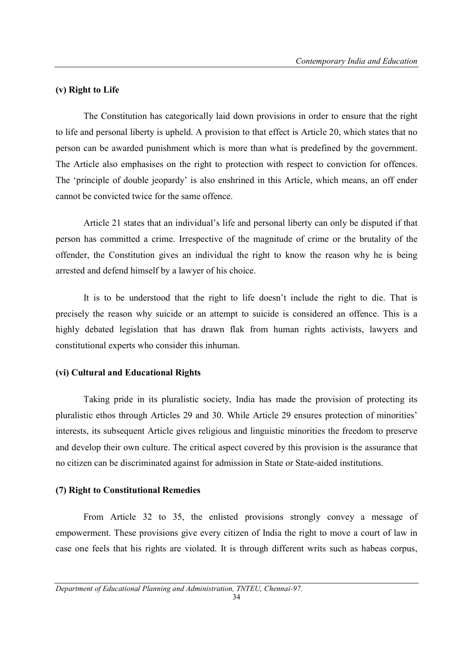#### (v) Right to Life

 The Constitution has categorically laid down provisions in order to ensure that the right to life and personal liberty is upheld. A provision to that effect is Article 20, which states that no person can be awarded punishment which is more than what is predefined by the government. The Article also emphasises on the right to protection with respect to conviction for offences. The 'principle of double jeopardy' is also enshrined in this Article, which means, an off ender cannot be convicted twice for the same offence.

 Article 21 states that an individual's life and personal liberty can only be disputed if that person has committed a crime. Irrespective of the magnitude of crime or the brutality of the offender, the Constitution gives an individual the right to know the reason why he is being arrested and defend himself by a lawyer of his choice.

 It is to be understood that the right to life doesn't include the right to die. That is precisely the reason why suicide or an attempt to suicide is considered an offence. This is a highly debated legislation that has drawn flak from human rights activists, lawyers and constitutional experts who consider this inhuman.

#### (vi) Cultural and Educational Rights

 Taking pride in its pluralistic society, India has made the provision of protecting its pluralistic ethos through Articles 29 and 30. While Article 29 ensures protection of minorities' interests, its subsequent Article gives religious and linguistic minorities the freedom to preserve and develop their own culture. The critical aspect covered by this provision is the assurance that no citizen can be discriminated against for admission in State or State-aided institutions.

### (7) Right to Constitutional Remedies

 From Article 32 to 35, the enlisted provisions strongly convey a message of empowerment. These provisions give every citizen of India the right to move a court of law in case one feels that his rights are violated. It is through different writs such as habeas corpus,

Department of Educational Planning and Administration, TNTEU, Chennai-97.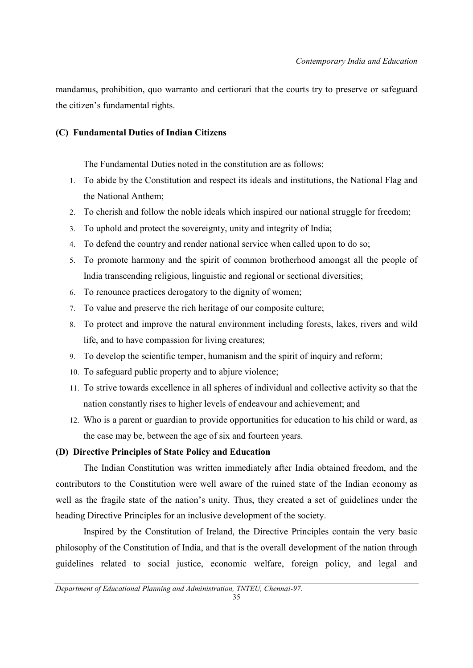mandamus, prohibition, quo warranto and certiorari that the courts try to preserve or safeguard the citizen's fundamental rights.

## (C) Fundamental Duties of Indian Citizens

The Fundamental Duties noted in the constitution are as follows:

- 1. To abide by the Constitution and respect its ideals and institutions, the National Flag and the National Anthem;
- 2. To cherish and follow the noble ideals which inspired our national struggle for freedom;
- 3. To uphold and protect the sovereignty, unity and integrity of India;
- 4. To defend the country and render national service when called upon to do so;
- 5. To promote harmony and the spirit of common brotherhood amongst all the people of India transcending religious, linguistic and regional or sectional diversities;
- 6. To renounce practices derogatory to the dignity of women;
- 7. To value and preserve the rich heritage of our composite culture;
- 8. To protect and improve the natural environment including forests, lakes, rivers and wild life, and to have compassion for living creatures;
- 9. To develop the scientific temper, humanism and the spirit of inquiry and reform;
- 10. To safeguard public property and to abjure violence;
- 11. To strive towards excellence in all spheres of individual and collective activity so that the nation constantly rises to higher levels of endeavour and achievement; and
- 12. Who is a parent or guardian to provide opportunities for education to his child or ward, as the case may be, between the age of six and fourteen years.

## (D) Directive Principles of State Policy and Education

 The Indian Constitution was written immediately after India obtained freedom, and the contributors to the Constitution were well aware of the ruined state of the Indian economy as well as the fragile state of the nation's unity. Thus, they created a set of guidelines under the heading Directive Principles for an inclusive development of the society.

 Inspired by the Constitution of Ireland, the Directive Principles contain the very basic philosophy of the Constitution of India, and that is the overall development of the nation through guidelines related to social justice, economic welfare, foreign policy, and legal and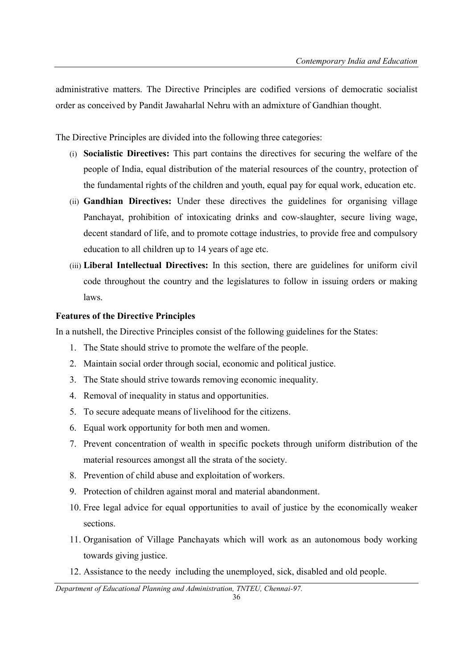administrative matters. The Directive Principles are codified versions of democratic socialist order as conceived by Pandit Jawaharlal Nehru with an admixture of Gandhian thought.

The Directive Principles are divided into the following three categories:

- (i) Socialistic Directives: This part contains the directives for securing the welfare of the people of India, equal distribution of the material resources of the country, protection of the fundamental rights of the children and youth, equal pay for equal work, education etc.
- (ii) Gandhian Directives: Under these directives the guidelines for organising village Panchayat, prohibition of intoxicating drinks and cow-slaughter, secure living wage, decent standard of life, and to promote cottage industries, to provide free and compulsory education to all children up to 14 years of age etc.
- (iii) Liberal Intellectual Directives: In this section, there are guidelines for uniform civil code throughout the country and the legislatures to follow in issuing orders or making laws.

### Features of the Directive Principles

In a nutshell, the Directive Principles consist of the following guidelines for the States:

- 1. The State should strive to promote the welfare of the people.
- 2. Maintain social order through social, economic and political justice.
- 3. The State should strive towards removing economic inequality.
- 4. Removal of inequality in status and opportunities.
- 5. To secure adequate means of livelihood for the citizens.
- 6. Equal work opportunity for both men and women.
- 7. Prevent concentration of wealth in specific pockets through uniform distribution of the material resources amongst all the strata of the society.
- 8. Prevention of child abuse and exploitation of workers.
- 9. Protection of children against moral and material abandonment.
- 10. Free legal advice for equal opportunities to avail of justice by the economically weaker sections.
- 11. Organisation of Village Panchayats which will work as an autonomous body working towards giving justice.
- 12. Assistance to the needy including the unemployed, sick, disabled and old people.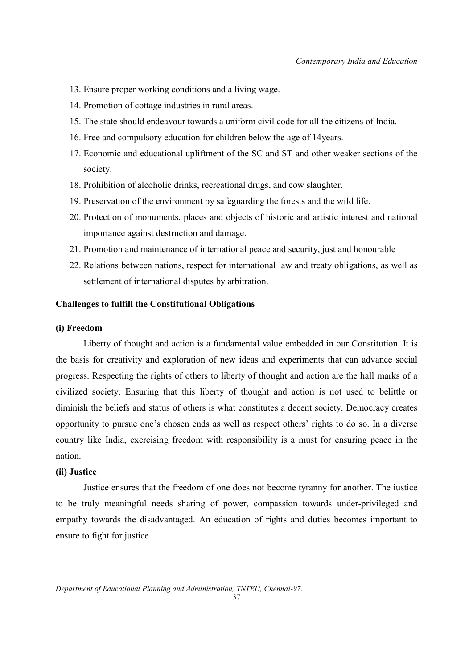- 13. Ensure proper working conditions and a living wage.
- 14. Promotion of cottage industries in rural areas.
- 15. The state should endeavour towards a uniform civil code for all the citizens of India.
- 16. Free and compulsory education for children below the age of 14years.
- 17. Economic and educational upliftment of the SC and ST and other weaker sections of the society.
- 18. Prohibition of alcoholic drinks, recreational drugs, and cow slaughter.
- 19. Preservation of the environment by safeguarding the forests and the wild life.
- 20. Protection of monuments, places and objects of historic and artistic interest and national importance against destruction and damage.
- 21. Promotion and maintenance of international peace and security, just and honourable
- 22. Relations between nations, respect for international law and treaty obligations, as well as settlement of international disputes by arbitration.

### Challenges to fulfill the Constitutional Obligations

## (i) Freedom

 Liberty of thought and action is a fundamental value embedded in our Constitution. It is the basis for creativity and exploration of new ideas and experiments that can advance social progress. Respecting the rights of others to liberty of thought and action are the hall marks of a civilized society. Ensuring that this liberty of thought and action is not used to belittle or diminish the beliefs and status of others is what constitutes a decent society. Democracy creates opportunity to pursue one's chosen ends as well as respect others' rights to do so. In a diverse country like India, exercising freedom with responsibility is a must for ensuring peace in the nation.

## (ii) Justice

 Justice ensures that the freedom of one does not become tyranny for another. The iustice to be truly meaningful needs sharing of power, compassion towards under-privileged and empathy towards the disadvantaged. An education of rights and duties becomes important to ensure to fight for justice.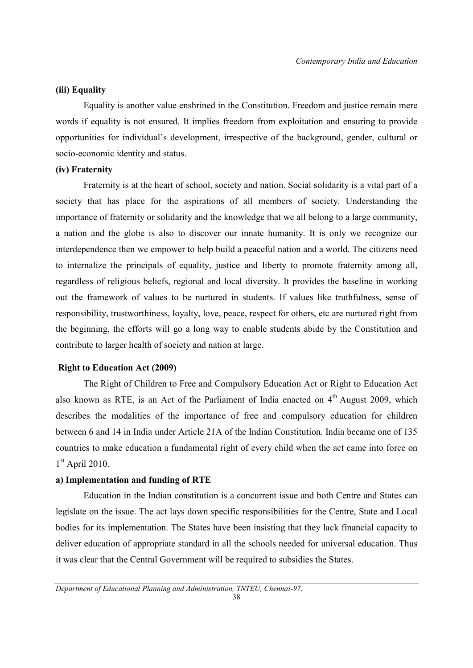## (iii) Equality

 Equality is another value enshrined in the Constitution. Freedom and justice remain mere words if equality is not ensured. It implies freedom from exploitation and ensuring to provide opportunities for individual's development, irrespective of the background, gender, cultural or socio-economic identity and status.

## (iv) Fraternity

 Fraternity is at the heart of school, society and nation. Social solidarity is a vital part of a society that has place for the aspirations of all members of society. Understanding the importance of fraternity or solidarity and the knowledge that we all belong to a large community, a nation and the globe is also to discover our innate humanity. It is only we recognize our interdependence then we empower to help build a peaceful nation and a world. The citizens need to internalize the principals of equality, justice and liberty to promote fraternity among all, regardless of religious beliefs, regional and local diversity. It provides the baseline in working out the framework of values to be nurtured in students. If values like truthfulness, sense of responsibility, trustworthiness, loyalty, love, peace, respect for others, etc are nurtured right from the beginning, the efforts will go a long way to enable students abide by the Constitution and contribute to larger health of society and nation at large.

## Right to Education Act (2009)

 The Right of Children to Free and Compulsory Education Act or Right to Education Act also known as RTE, is an Act of the Parliament of India enacted on  $4<sup>th</sup>$  August 2009, which describes the modalities of the importance of free and compulsory education for children between 6 and 14 in India under Article 21A of the Indian Constitution. India became one of 135 countries to make education a fundamental right of every child when the act came into force on 1 st April 2010.

## a) Implementation and funding of RTE

 Education in the Indian constitution is a concurrent issue and both Centre and States can legislate on the issue. The act lays down specific responsibilities for the Centre, State and Local bodies for its implementation. The States have been insisting that they lack financial capacity to deliver education of appropriate standard in all the schools needed for universal education. Thus it was clear that the Central Government will be required to subsidies the States.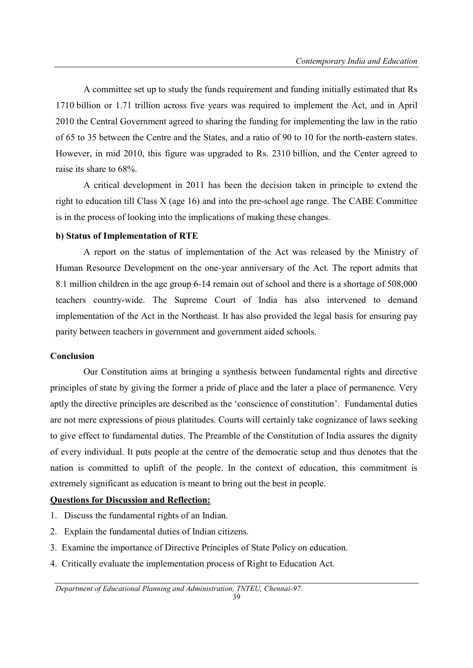A committee set up to study the funds requirement and funding initially estimated that Rs 1710 billion or 1.71 trillion across five years was required to implement the Act, and in April 2010 the Central Government agreed to sharing the funding for implementing the law in the ratio of 65 to 35 between the Centre and the States, and a ratio of 90 to 10 for the north-eastern states. However, in mid 2010, this figure was upgraded to Rs. 2310 billion, and the Center agreed to raise its share to 68%.

 A critical development in 2011 has been the decision taken in principle to extend the right to education till Class X (age 16) and into the pre-school age range. The CABE Committee is in the process of looking into the implications of making these changes.

#### b) Status of Implementation of RTE

 A report on the status of implementation of the Act was released by the Ministry of Human Resource Development on the one-year anniversary of the Act. The report admits that 8.1 million children in the age group 6-14 remain out of school and there is a shortage of 508,000 teachers country-wide. The Supreme Court of India has also intervened to demand implementation of the Act in the Northeast. It has also provided the legal basis for ensuring pay parity between teachers in government and government aided schools.

#### Conclusion

 Our Constitution aims at bringing a synthesis between fundamental rights and directive principles of state by giving the former a pride of place and the later a place of permanence. Very aptly the directive principles are described as the 'conscience of constitution'. Fundamental duties are not mere expressions of pious platitudes. Courts will certainly take cognizance of laws seeking to give effect to fundamental duties. The Preamble of the Constitution of India assures the dignity of every individual. It puts people at the centre of the democratic setup and thus denotes that the nation is committed to uplift of the people. In the context of education, this commitment is extremely significant as education is meant to bring out the best in people.

## Questions for Discussion and Reflection:

- 1. Discuss the fundamental rights of an Indian.
- 2. Explain the fundamental duties of Indian citizens.
- 3. Examine the importance of Directive Principles of State Policy on education.
- 4. Critically evaluate the implementation process of Right to Education Act.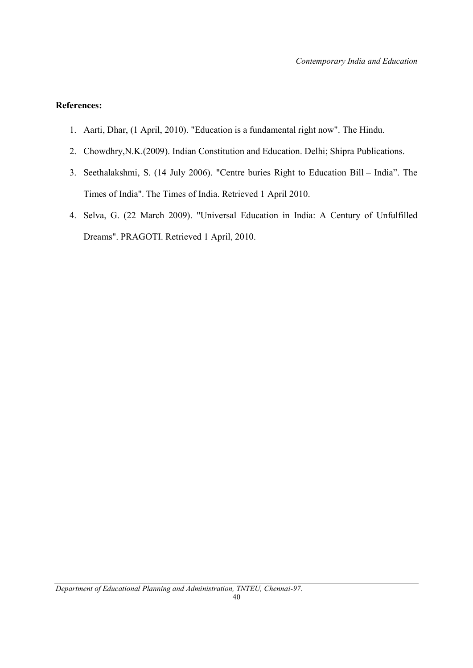## References:

- 1. Aarti, Dhar, (1 April, 2010). "Education is a fundamental right now". The Hindu.
- 2. Chowdhry,N.K.(2009). Indian Constitution and Education. Delhi; Shipra Publications.
- 3. Seethalakshmi, S. (14 July 2006). "Centre buries Right to Education Bill India". The Times of India". The Times of India. Retrieved 1 April 2010.
- 4. Selva, G. (22 March 2009). "Universal Education in India: A Century of Unfulfilled Dreams". PRAGOTI. Retrieved 1 April, 2010.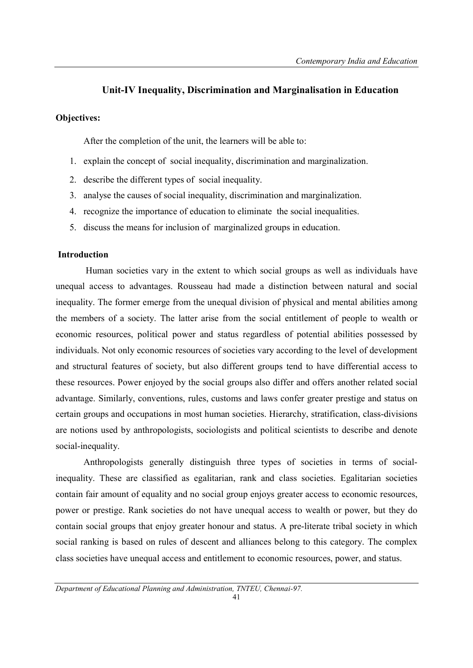## Unit-IV Inequality, Discrimination and Marginalisation in Education

## Objectives:

After the completion of the unit, the learners will be able to:

- 1. explain the concept of social inequality, discrimination and marginalization.
- 2. describe the different types of social inequality.
- 3. analyse the causes of social inequality, discrimination and marginalization.
- 4. recognize the importance of education to eliminate the social inequalities.
- 5. discuss the means for inclusion of marginalized groups in education.

#### Introduction

 Human societies vary in the extent to which social groups as well as individuals have unequal access to advantages. Rousseau had made a distinction between natural and social inequality. The former emerge from the unequal division of physical and mental abilities among the members of a society. The latter arise from the social entitlement of people to wealth or economic resources, political power and status regardless of potential abilities possessed by individuals. Not only economic resources of societies vary according to the level of development and structural features of society, but also different groups tend to have differential access to these resources. Power enjoyed by the social groups also differ and offers another related social advantage. Similarly, conventions, rules, customs and laws confer greater prestige and status on certain groups and occupations in most human societies. Hierarchy, stratification, class-divisions are notions used by anthropologists, sociologists and political scientists to describe and denote social-inequality.

 Anthropologists generally distinguish three types of societies in terms of socialinequality. These are classified as egalitarian, rank and class societies. Egalitarian societies contain fair amount of equality and no social group enjoys greater access to economic resources, power or prestige. Rank societies do not have unequal access to wealth or power, but they do contain social groups that enjoy greater honour and status. A pre-literate tribal society in which social ranking is based on rules of descent and alliances belong to this category. The complex class societies have unequal access and entitlement to economic resources, power, and status.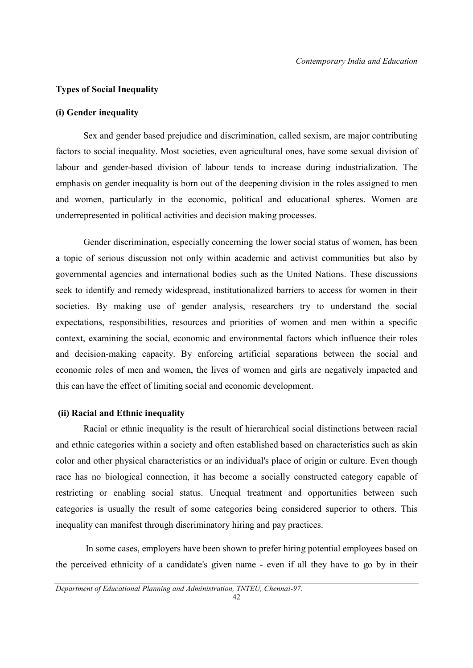## Types of Social Inequality

### (i) Gender inequality

Sex and gender based prejudice and discrimination, called sexism, are major contributing factors to social inequality. Most societies, even agricultural ones, have some sexual division of labour and gender-based division of labour tends to increase during industrialization. The emphasis on gender inequality is born out of the deepening division in the roles assigned to men and women, particularly in the economic, political and educational spheres. Women are underrepresented in political activities and decision making processes.

Gender discrimination, especially concerning the lower social status of women, has been a topic of serious discussion not only within academic and activist communities but also by governmental agencies and international bodies such as the United Nations. These discussions seek to identify and remedy widespread, institutionalized barriers to access for women in their societies. By making use of gender analysis, researchers try to understand the social expectations, responsibilities, resources and priorities of women and men within a specific context, examining the social, economic and environmental factors which influence their roles and decision-making capacity. By enforcing artificial separations between the social and economic roles of men and women, the lives of women and girls are negatively impacted and this can have the effect of limiting social and economic development.

#### (ii) Racial and Ethnic inequality

 Racial or ethnic inequality is the result of hierarchical social distinctions between racial and ethnic categories within a society and often established based on characteristics such as skin color and other physical characteristics or an individual's place of origin or culture. Even though race has no biological connection, it has become a socially constructed category capable of restricting or enabling social status. Unequal treatment and opportunities between such categories is usually the result of some categories being considered superior to others. This inequality can manifest through discriminatory hiring and pay practices.

 In some cases, employers have been shown to prefer hiring potential employees based on the perceived ethnicity of a candidate's given name - even if all they have to go by in their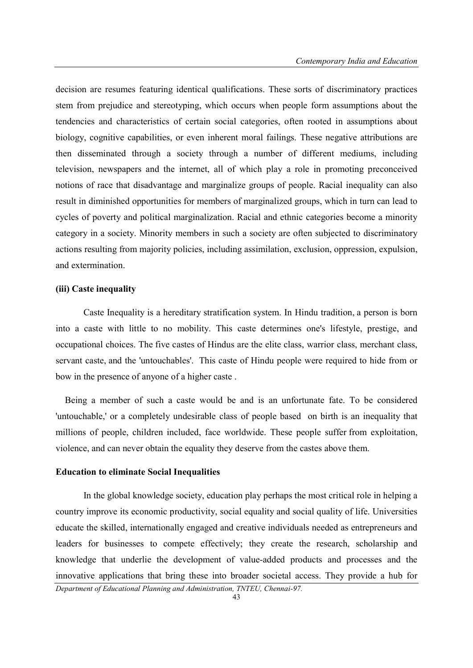decision are resumes featuring identical qualifications. These sorts of discriminatory practices stem from prejudice and stereotyping, which occurs when people form assumptions about the tendencies and characteristics of certain social categories, often rooted in assumptions about biology, cognitive capabilities, or even inherent moral failings. These negative attributions are then disseminated through a society through a number of different mediums, including television, newspapers and the internet, all of which play a role in promoting preconceived notions of race that disadvantage and marginalize groups of people. Racial inequality can also result in diminished opportunities for members of marginalized groups, which in turn can lead to cycles of poverty and political marginalization. Racial and ethnic categories become a minority category in a society. Minority members in such a society are often subjected to discriminatory actions resulting from majority policies, including assimilation, exclusion, oppression, expulsion, and extermination.

#### (iii) Caste inequality

 Caste Inequality is a hereditary stratification system. In Hindu tradition, a person is born into a caste with little to no mobility. This caste determines one's lifestyle, prestige, and occupational choices. The five castes of Hindus are the elite class, warrior class, merchant class, servant caste, and the 'untouchables'. This caste of Hindu people were required to hide from or bow in the presence of anyone of a higher caste .

 Being a member of such a caste would be and is an unfortunate fate. To be considered 'untouchable,' or a completely undesirable class of people based on birth is an inequality that millions of people, children included, face worldwide. These people suffer from exploitation, violence, and can never obtain the equality they deserve from the castes above them.

#### Education to eliminate Social Inequalities

Department of Educational Planning and Administration, TNTEU, Chennai-97. In the global knowledge society, education play perhaps the most critical role in helping a country improve its economic productivity, social equality and social quality of life. Universities educate the skilled, internationally engaged and creative individuals needed as entrepreneurs and leaders for businesses to compete effectively; they create the research, scholarship and knowledge that underlie the development of value-added products and processes and the innovative applications that bring these into broader societal access. They provide a hub for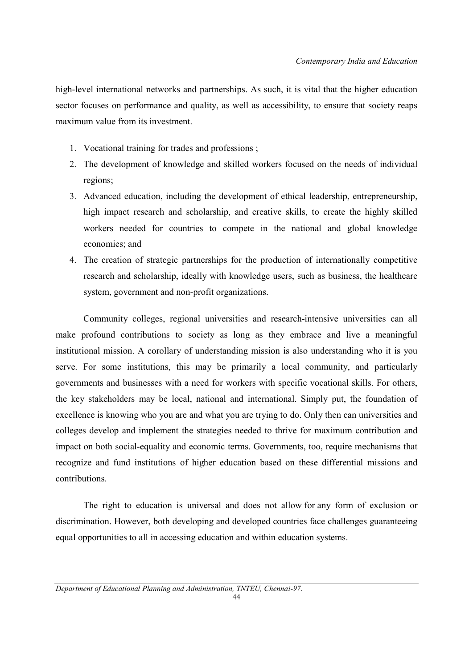high-level international networks and partnerships. As such, it is vital that the higher education sector focuses on performance and quality, as well as accessibility, to ensure that society reaps maximum value from its investment.

- 1. Vocational training for trades and professions ;
- 2. The development of knowledge and skilled workers focused on the needs of individual regions;
- 3. Advanced education, including the development of ethical leadership, entrepreneurship, high impact research and scholarship, and creative skills, to create the highly skilled workers needed for countries to compete in the national and global knowledge economies; and
- 4. The creation of strategic partnerships for the production of internationally competitive research and scholarship, ideally with knowledge users, such as business, the healthcare system, government and non-profit organizations.

 Community colleges, regional universities and research-intensive universities can all make profound contributions to society as long as they embrace and live a meaningful institutional mission. A corollary of understanding mission is also understanding who it is you serve. For some institutions, this may be primarily a local community, and particularly governments and businesses with a need for workers with specific vocational skills. For others, the key stakeholders may be local, national and international. Simply put, the foundation of excellence is knowing who you are and what you are trying to do. Only then can universities and colleges develop and implement the strategies needed to thrive for maximum contribution and impact on both social-equality and economic terms. Governments, too, require mechanisms that recognize and fund institutions of higher education based on these differential missions and contributions.

 The right to education is universal and does not allow for any form of exclusion or discrimination. However, both developing and developed countries face challenges guaranteeing equal opportunities to all in accessing education and within education systems.

Department of Educational Planning and Administration, TNTEU, Chennai-97.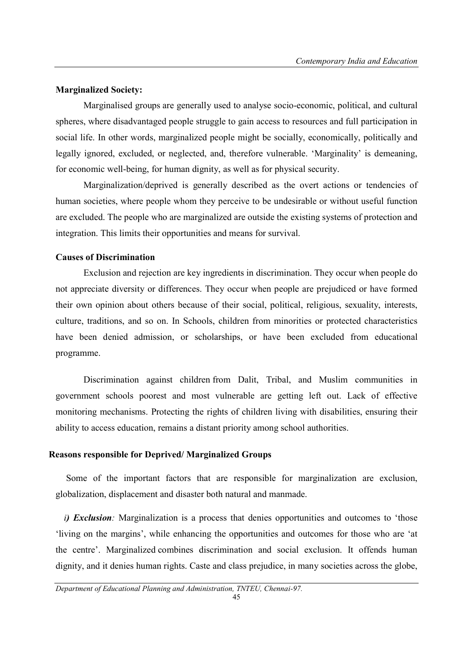#### Marginalized Society:

Marginalised groups are generally used to analyse socio-economic, political, and cultural spheres, where disadvantaged people struggle to gain access to resources and full participation in social life. In other words, marginalized people might be socially, economically, politically and legally ignored, excluded, or neglected, and, therefore vulnerable. 'Marginality' is demeaning, for economic well-being, for human dignity, as well as for physical security.

 Marginalization/deprived is generally described as the overt actions or tendencies of human societies, where people whom they perceive to be undesirable or without useful function are excluded. The people who are marginalized are outside the existing systems of protection and integration. This limits their opportunities and means for survival.

## Causes of Discrimination

Exclusion and rejection are key ingredients in discrimination. They occur when people do not appreciate diversity or differences. They occur when people are prejudiced or have formed their own opinion about others because of their social, political, religious, sexuality, interests, culture, traditions, and so on. In Schools, children from minorities or protected characteristics have been denied admission, or scholarships, or have been excluded from educational programme.

 Discrimination against children from Dalit, Tribal, and Muslim communities in government schools poorest and most vulnerable are getting left out. Lack of effective monitoring mechanisms. Protecting the rights of children living with disabilities, ensuring their ability to access education, remains a distant priority among school authorities.

#### Reasons responsible for Deprived/ Marginalized Groups

 Some of the important factors that are responsible for marginalization are exclusion, globalization, displacement and disaster both natural and manmade.

i) Exclusion: Marginalization is a process that denies opportunities and outcomes to 'those 'living on the margins', while enhancing the opportunities and outcomes for those who are 'at the centre'. Marginalized combines discrimination and social exclusion. It offends human dignity, and it denies human rights. Caste and class prejudice, in many societies across the globe,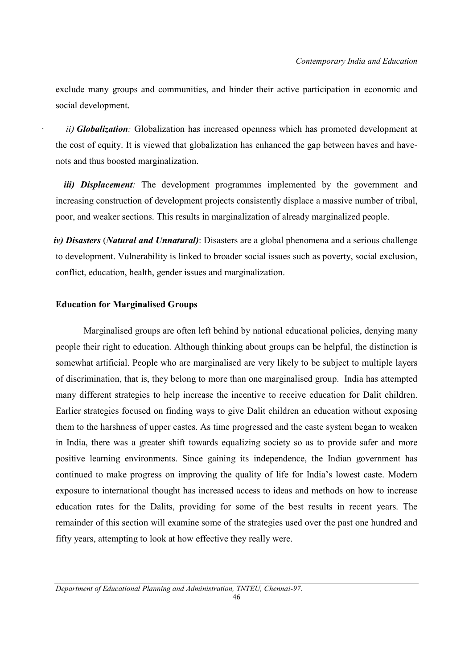exclude many groups and communities, and hinder their active participation in economic and social development.

ii) **Globalization**: Globalization has increased openness which has promoted development at the cost of equity. It is viewed that globalization has enhanced the gap between haves and havenots and thus boosted marginalization.

*iii)* Displacement: The development programmes implemented by the government and increasing construction of development projects consistently displace a massive number of tribal, poor, and weaker sections. This results in marginalization of already marginalized people.

iv) Disasters (Natural and Unnatural): Disasters are a global phenomena and a serious challenge to development. Vulnerability is linked to broader social issues such as poverty, social exclusion, conflict, education, health, gender issues and marginalization.

#### Education for Marginalised Groups

 Marginalised groups are often left behind by national educational policies, denying many people their right to education. Although thinking about groups can be helpful, the distinction is somewhat artificial. People who are marginalised are very likely to be subject to multiple layers of discrimination, that is, they belong to more than one marginalised group. India has attempted many different strategies to help increase the incentive to receive education for Dalit children. Earlier strategies focused on finding ways to give Dalit children an education without exposing them to the harshness of upper castes. As time progressed and the caste system began to weaken in India, there was a greater shift towards equalizing society so as to provide safer and more positive learning environments. Since gaining its independence, the Indian government has continued to make progress on improving the quality of life for India's lowest caste. Modern exposure to international thought has increased access to ideas and methods on how to increase education rates for the Dalits, providing for some of the best results in recent years. The remainder of this section will examine some of the strategies used over the past one hundred and fifty years, attempting to look at how effective they really were.

Department of Educational Planning and Administration, TNTEU, Chennai-97.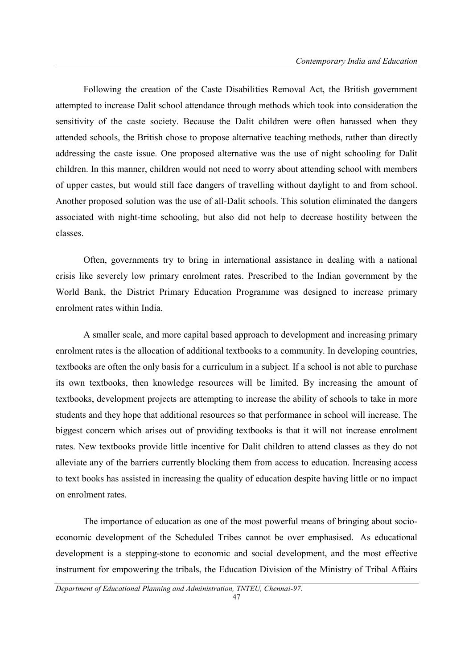Following the creation of the Caste Disabilities Removal Act, the British government attempted to increase Dalit school attendance through methods which took into consideration the sensitivity of the caste society. Because the Dalit children were often harassed when they attended schools, the British chose to propose alternative teaching methods, rather than directly addressing the caste issue. One proposed alternative was the use of night schooling for Dalit children. In this manner, children would not need to worry about attending school with members of upper castes, but would still face dangers of travelling without daylight to and from school. Another proposed solution was the use of all-Dalit schools. This solution eliminated the dangers associated with night-time schooling, but also did not help to decrease hostility between the classes.

 Often, governments try to bring in international assistance in dealing with a national crisis like severely low primary enrolment rates. Prescribed to the Indian government by the World Bank, the District Primary Education Programme was designed to increase primary enrolment rates within India.

 A smaller scale, and more capital based approach to development and increasing primary enrolment rates is the allocation of additional textbooks to a community. In developing countries, textbooks are often the only basis for a curriculum in a subject. If a school is not able to purchase its own textbooks, then knowledge resources will be limited. By increasing the amount of textbooks, development projects are attempting to increase the ability of schools to take in more students and they hope that additional resources so that performance in school will increase. The biggest concern which arises out of providing textbooks is that it will not increase enrolment rates. New textbooks provide little incentive for Dalit children to attend classes as they do not alleviate any of the barriers currently blocking them from access to education. Increasing access to text books has assisted in increasing the quality of education despite having little or no impact on enrolment rates.

 The importance of education as one of the most powerful means of bringing about socioeconomic development of the Scheduled Tribes cannot be over emphasised. As educational development is a stepping-stone to economic and social development, and the most effective instrument for empowering the tribals, the Education Division of the Ministry of Tribal Affairs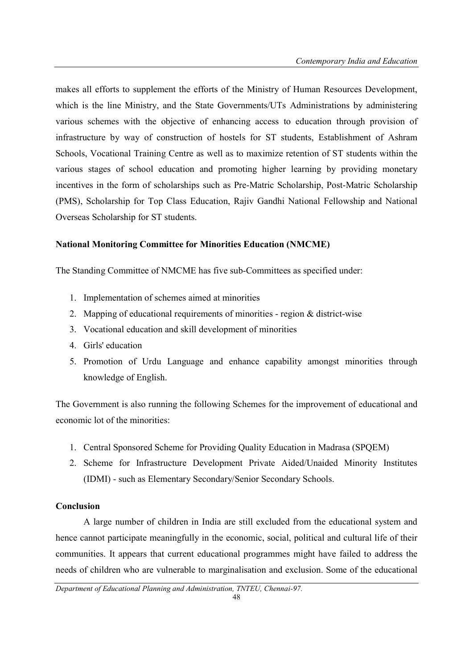makes all efforts to supplement the efforts of the Ministry of Human Resources Development, which is the line Ministry, and the State Governments/UTs Administrations by administering various schemes with the objective of enhancing access to education through provision of infrastructure by way of construction of hostels for ST students, Establishment of Ashram Schools, Vocational Training Centre as well as to maximize retention of ST students within the various stages of school education and promoting higher learning by providing monetary incentives in the form of scholarships such as Pre-Matric Scholarship, Post-Matric Scholarship (PMS), Scholarship for Top Class Education, Rajiv Gandhi National Fellowship and National Overseas Scholarship for ST students.

## National Monitoring Committee for Minorities Education (NMCME)

The Standing Committee of NMCME has five sub-Committees as specified under:

- 1. Implementation of schemes aimed at minorities
- 2. Mapping of educational requirements of minorities region & district-wise
- 3. Vocational education and skill development of minorities
- 4. Girls' education
- 5. Promotion of Urdu Language and enhance capability amongst minorities through knowledge of English.

The Government is also running the following Schemes for the improvement of educational and economic lot of the minorities:

- 1. Central Sponsored Scheme for Providing Quality Education in Madrasa (SPQEM)
- 2. Scheme for Infrastructure Development Private Aided/Unaided Minority Institutes (IDMI) - such as Elementary Secondary/Senior Secondary Schools.

## Conclusion

 A large number of children in India are still excluded from the educational system and hence cannot participate meaningfully in the economic, social, political and cultural life of their communities. It appears that current educational programmes might have failed to address the needs of children who are vulnerable to marginalisation and exclusion. Some of the educational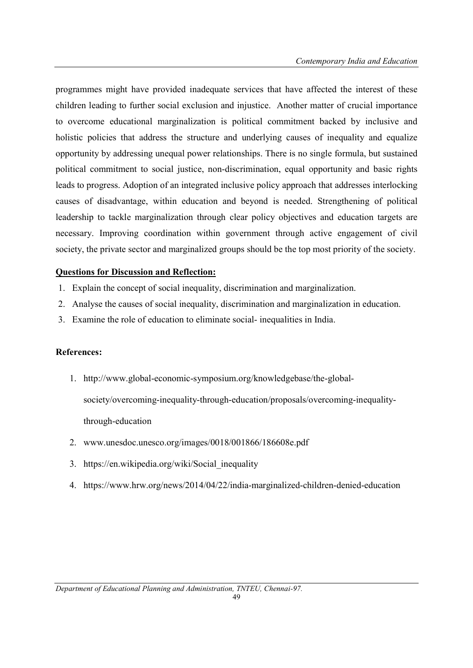programmes might have provided inadequate services that have affected the interest of these children leading to further social exclusion and injustice. Another matter of crucial importance to overcome educational marginalization is political commitment backed by inclusive and holistic policies that address the structure and underlying causes of inequality and equalize opportunity by addressing unequal power relationships. There is no single formula, but sustained political commitment to social justice, non-discrimination, equal opportunity and basic rights leads to progress. Adoption of an integrated inclusive policy approach that addresses interlocking causes of disadvantage, within education and beyond is needed. Strengthening of political leadership to tackle marginalization through clear policy objectives and education targets are necessary. Improving coordination within government through active engagement of civil society, the private sector and marginalized groups should be the top most priority of the society.

## Questions for Discussion and Reflection:

- 1. Explain the concept of social inequality, discrimination and marginalization.
- 2. Analyse the causes of social inequality, discrimination and marginalization in education.
- 3. Examine the role of education to eliminate social- inequalities in India.

## References:

1. http://www.global-economic-symposium.org/knowledgebase/the-global-

society/overcoming-inequality-through-education/proposals/overcoming-inequalitythrough-education

- 2. www.unesdoc.unesco.org/images/0018/001866/186608e.pdf
- 3. https://en.wikipedia.org/wiki/Social\_inequality
- 4. https://www.hrw.org/news/2014/04/22/india-marginalized-children-denied-education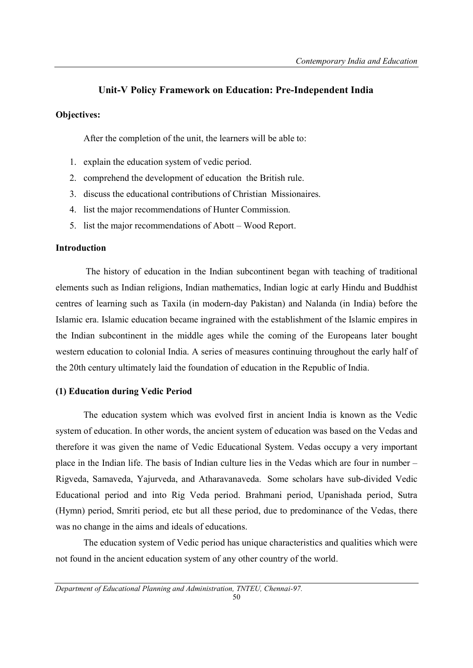## Unit-V Policy Framework on Education: Pre-Independent India

### Objectives:

After the completion of the unit, the learners will be able to:

- 1. explain the education system of vedic period.
- 2. comprehend the development of education the British rule.
- 3. discuss the educational contributions of Christian Missionaires.
- 4. list the major recommendations of Hunter Commission.
- 5. list the major recommendations of Abott Wood Report.

## Introduction

 The history of education in the Indian subcontinent began with teaching of traditional elements such as Indian religions, Indian mathematics, Indian logic at early Hindu and Buddhist centres of learning such as Taxila (in modern-day Pakistan) and Nalanda (in India) before the Islamic era. Islamic education became ingrained with the establishment of the Islamic empires in the Indian subcontinent in the middle ages while the coming of the Europeans later bought western education to colonial India. A series of measures continuing throughout the early half of the 20th century ultimately laid the foundation of education in the Republic of India.

#### (1) Education during Vedic Period

The education system which was evolved first in ancient India is known as the Vedic system of education. In other words, the ancient system of education was based on the Vedas and therefore it was given the name of Vedic Educational System. Vedas occupy a very important place in the Indian life. The basis of Indian culture lies in the Vedas which are four in number – Rigveda, Samaveda, Yajurveda, and Atharavanaveda. Some scholars have sub-divided Vedic Educational period and into Rig Veda period. Brahmani period, Upanishada period, Sutra (Hymn) period, Smriti period, etc but all these period, due to predominance of the Vedas, there was no change in the aims and ideals of educations.

The education system of Vedic period has unique characteristics and qualities which were not found in the ancient education system of any other country of the world.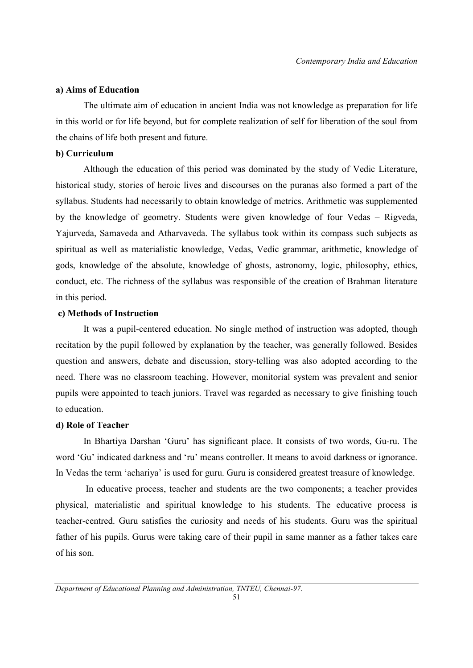#### a) Aims of Education

 The ultimate aim of education in ancient India was not knowledge as preparation for life in this world or for life beyond, but for complete realization of self for liberation of the soul from the chains of life both present and future.

## b) Curriculum

 Although the education of this period was dominated by the study of Vedic Literature, historical study, stories of heroic lives and discourses on the puranas also formed a part of the syllabus. Students had necessarily to obtain knowledge of metrics. Arithmetic was supplemented by the knowledge of geometry. Students were given knowledge of four Vedas – Rigveda, Yajurveda, Samaveda and Atharvaveda. The syllabus took within its compass such subjects as spiritual as well as materialistic knowledge, Vedas, Vedic grammar, arithmetic, knowledge of gods, knowledge of the absolute, knowledge of ghosts, astronomy, logic, philosophy, ethics, conduct, etc. The richness of the syllabus was responsible of the creation of Brahman literature in this period.

#### c) Methods of Instruction

 It was a pupil-centered education. No single method of instruction was adopted, though recitation by the pupil followed by explanation by the teacher, was generally followed. Besides question and answers, debate and discussion, story-telling was also adopted according to the need. There was no classroom teaching. However, monitorial system was prevalent and senior pupils were appointed to teach juniors. Travel was regarded as necessary to give finishing touch to education.

#### d) Role of Teacher

 In Bhartiya Darshan 'Guru' has significant place. It consists of two words, Gu-ru. The word 'Gu' indicated darkness and 'ru' means controller. It means to avoid darkness or ignorance. In Vedas the term 'achariya' is used for guru. Guru is considered greatest treasure of knowledge.

 In educative process, teacher and students are the two components; a teacher provides physical, materialistic and spiritual knowledge to his students. The educative process is teacher-centred. Guru satisfies the curiosity and needs of his students. Guru was the spiritual father of his pupils. Gurus were taking care of their pupil in same manner as a father takes care of his son.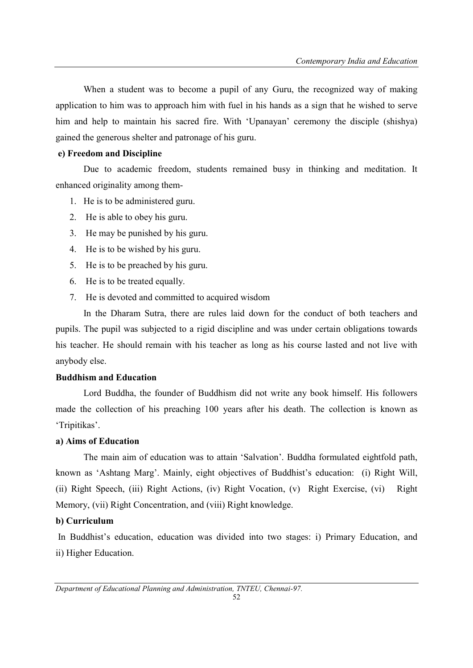When a student was to become a pupil of any Guru, the recognized way of making application to him was to approach him with fuel in his hands as a sign that he wished to serve him and help to maintain his sacred fire. With 'Upanayan' ceremony the disciple (shishya) gained the generous shelter and patronage of his guru.

### e) Freedom and Discipline

 Due to academic freedom, students remained busy in thinking and meditation. It enhanced originality among them-

- 1. He is to be administered guru.
- 2. He is able to obey his guru.
- 3. He may be punished by his guru.
- 4. He is to be wished by his guru.
- 5. He is to be preached by his guru.
- 6. He is to be treated equally.
- 7. He is devoted and committed to acquired wisdom

 In the Dharam Sutra, there are rules laid down for the conduct of both teachers and pupils. The pupil was subjected to a rigid discipline and was under certain obligations towards his teacher. He should remain with his teacher as long as his course lasted and not live with anybody else.

#### Buddhism and Education

Lord Buddha, the founder of Buddhism did not write any book himself. His followers made the collection of his preaching 100 years after his death. The collection is known as 'Tripitikas'.

## a) Aims of Education

The main aim of education was to attain 'Salvation'. Buddha formulated eightfold path, known as 'Ashtang Marg'. Mainly, eight objectives of Buddhist's education: (i) Right Will, (ii) Right Speech, (iii) Right Actions, (iv) Right Vocation, (v) Right Exercise, (vi) Right Memory, (vii) Right Concentration, and (viii) Right knowledge.

### b) Curriculum

 In Buddhist's education, education was divided into two stages: i) Primary Education, and ii) Higher Education.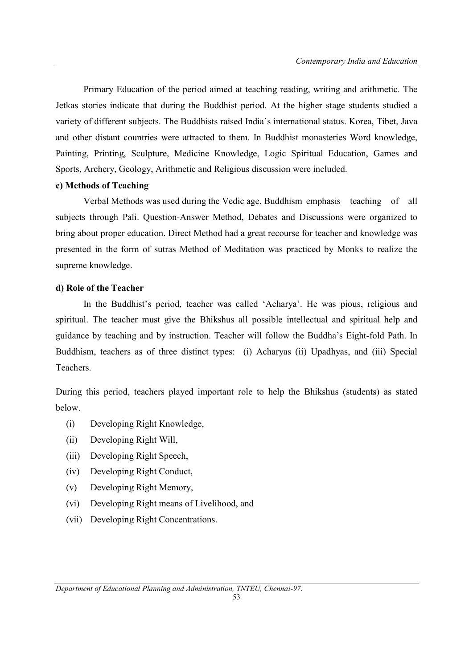Primary Education of the period aimed at teaching reading, writing and arithmetic. The Jetkas stories indicate that during the Buddhist period. At the higher stage students studied a variety of different subjects. The Buddhists raised India's international status. Korea, Tibet, Java and other distant countries were attracted to them. In Buddhist monasteries Word knowledge, Painting, Printing, Sculpture, Medicine Knowledge, Logic Spiritual Education, Games and Sports, Archery, Geology, Arithmetic and Religious discussion were included.

### c) Methods of Teaching

 Verbal Methods was used during the Vedic age. Buddhism emphasis teaching of all subjects through Pali. Question-Answer Method, Debates and Discussions were organized to bring about proper education. Direct Method had a great recourse for teacher and knowledge was presented in the form of sutras Method of Meditation was practiced by Monks to realize the supreme knowledge.

### d) Role of the Teacher

 In the Buddhist's period, teacher was called 'Acharya'. He was pious, religious and spiritual. The teacher must give the Bhikshus all possible intellectual and spiritual help and guidance by teaching and by instruction. Teacher will follow the Buddha's Eight-fold Path. In Buddhism, teachers as of three distinct types: (i) Acharyas (ii) Upadhyas, and (iii) Special **Teachers** 

During this period, teachers played important role to help the Bhikshus (students) as stated below.

- (i) Developing Right Knowledge,
- (ii) Developing Right Will,
- (iii) Developing Right Speech,
- (iv) Developing Right Conduct,
- (v) Developing Right Memory,
- (vi) Developing Right means of Livelihood, and
- (vii) Developing Right Concentrations.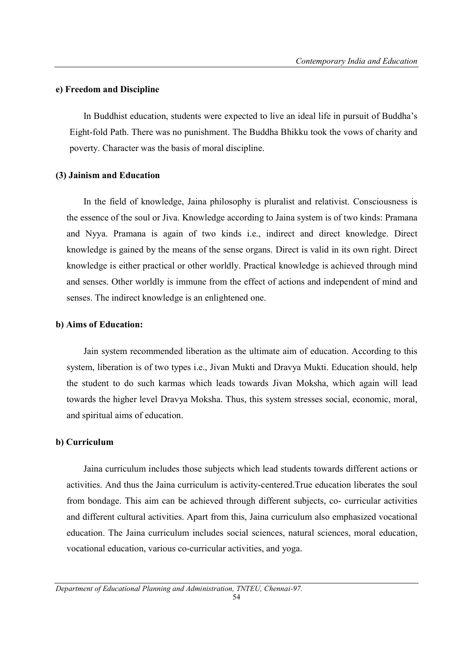#### e) Freedom and Discipline

In Buddhist education, students were expected to live an ideal life in pursuit of Buddha's Eight-fold Path. There was no punishment. The Buddha Bhikku took the vows of charity and poverty. Character was the basis of moral discipline.

#### (3) Jainism and Education

 In the field of knowledge, Jaina philosophy is pluralist and relativist. Consciousness is the essence of the soul or Jiva. Knowledge according to Jaina system is of two kinds: Pramana and Nyya. Pramana is again of two kinds i.e., indirect and direct knowledge. Direct knowledge is gained by the means of the sense organs. Direct is valid in its own right. Direct knowledge is either practical or other worldly. Practical knowledge is achieved through mind and senses. Other worldly is immune from the effect of actions and independent of mind and senses. The indirect knowledge is an enlightened one.

#### b) Aims of Education:

 Jain system recommended liberation as the ultimate aim of education. According to this system, liberation is of two types i.e., Jivan Mukti and Dravya Mukti. Education should, help the student to do such karmas which leads towards Jivan Moksha, which again will lead towards the higher level Dravya Moksha. Thus, this system stresses social, economic, moral, and spiritual aims of education.

## b) Curriculum

 Jaina curriculum includes those subjects which lead students towards different actions or activities. And thus the Jaina curriculum is activity-centered.True education liberates the soul from bondage. This aim can be achieved through different subjects, co- curricular activities and different cultural activities. Apart from this, Jaina curriculum also emphasized vocational education. The Jaina curriculum includes social sciences, natural sciences, moral education, vocational education, various co-curricular activities, and yoga.

Department of Educational Planning and Administration, TNTEU, Chennai-97.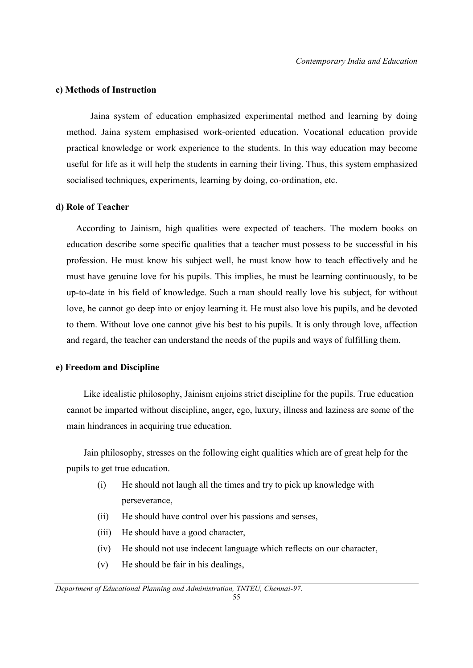#### c) Methods of Instruction

 Jaina system of education emphasized experimental method and learning by doing method. Jaina system emphasised work-oriented education. Vocational education provide practical knowledge or work experience to the students. In this way education may become useful for life as it will help the students in earning their living. Thus, this system emphasized socialised techniques, experiments, learning by doing, co-ordination, etc.

#### d) Role of Teacher

 According to Jainism, high qualities were expected of teachers. The modern books on education describe some specific qualities that a teacher must possess to be successful in his profession. He must know his subject well, he must know how to teach effectively and he must have genuine love for his pupils. This implies, he must be learning continuously, to be up-to-date in his field of knowledge. Such a man should really love his subject, for without love, he cannot go deep into or enjoy learning it. He must also love his pupils, and be devoted to them. Without love one cannot give his best to his pupils. It is only through love, affection and regard, the teacher can understand the needs of the pupils and ways of fulfilling them.

#### e) Freedom and Discipline

 Like idealistic philosophy, Jainism enjoins strict discipline for the pupils. True education cannot be imparted without discipline, anger, ego, luxury, illness and laziness are some of the main hindrances in acquiring true education.

Jain philosophy, stresses on the following eight qualities which are of great help for the pupils to get true education.

- (i) He should not laugh all the times and try to pick up knowledge with perseverance,
- (ii) He should have control over his passions and senses,
- (iii) He should have a good character,
- (iv) He should not use indecent language which reflects on our character,
- (v) He should be fair in his dealings,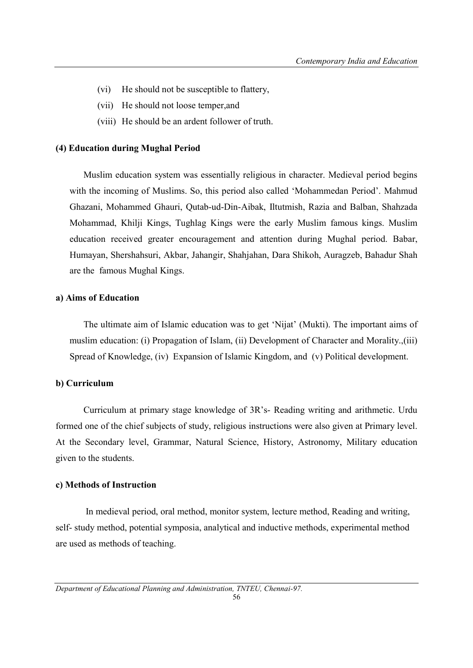- (vi) He should not be susceptible to flattery,
- (vii) He should not loose temper,and
- (viii) He should be an ardent follower of truth.

### (4) Education during Mughal Period

 Muslim education system was essentially religious in character. Medieval period begins with the incoming of Muslims. So, this period also called 'Mohammedan Period'. Mahmud Ghazani, Mohammed Ghauri, Qutab-ud-Din-Aibak, Iltutmish, Razia and Balban, Shahzada Mohammad, Khilji Kings, Tughlag Kings were the early Muslim famous kings. Muslim education received greater encouragement and attention during Mughal period. Babar, Humayan, Shershahsuri, Akbar, Jahangir, Shahjahan, Dara Shikoh, Auragzeb, Bahadur Shah are the famous Mughal Kings.

#### a) Aims of Education

The ultimate aim of Islamic education was to get 'Nijat' (Mukti). The important aims of muslim education: (i) Propagation of Islam, (ii) Development of Character and Morality.,(iii) Spread of Knowledge, (iv) Expansion of Islamic Kingdom, and (v) Political development.

## b) Curriculum

Curriculum at primary stage knowledge of 3R's- Reading writing and arithmetic. Urdu formed one of the chief subjects of study, religious instructions were also given at Primary level. At the Secondary level, Grammar, Natural Science, History, Astronomy, Military education given to the students.

## c) Methods of Instruction

 In medieval period, oral method, monitor system, lecture method, Reading and writing, self- study method, potential symposia, analytical and inductive methods, experimental method are used as methods of teaching.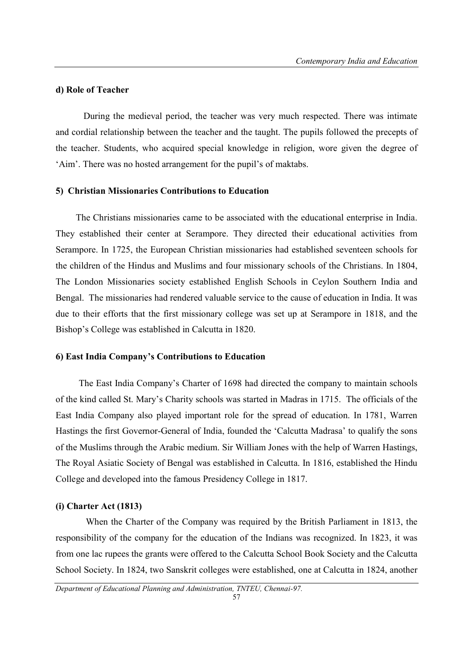## d) Role of Teacher

 During the medieval period, the teacher was very much respected. There was intimate and cordial relationship between the teacher and the taught. The pupils followed the precepts of the teacher. Students, who acquired special knowledge in religion, wore given the degree of 'Aim'. There was no hosted arrangement for the pupil's of maktabs.

#### 5) Christian Missionaries Contributions to Education

 The Christians missionaries came to be associated with the educational enterprise in India. They established their center at Serampore. They directed their educational activities from Serampore. In 1725, the European Christian missionaries had established seventeen schools for the children of the Hindus and Muslims and four missionary schools of the Christians. In 1804, The London Missionaries society established English Schools in Ceylon Southern India and Bengal. The missionaries had rendered valuable service to the cause of education in India. It was due to their efforts that the first missionary college was set up at Serampore in 1818, and the Bishop's College was established in Calcutta in 1820.

#### 6) East India Company's Contributions to Education

 The East India Company's Charter of 1698 had directed the company to maintain schools of the kind called St. Mary's Charity schools was started in Madras in 1715. The officials of the East India Company also played important role for the spread of education. In 1781, Warren Hastings the first Governor-General of India, founded the 'Calcutta Madrasa' to qualify the sons of the Muslims through the Arabic medium. Sir William Jones with the help of Warren Hastings, The Royal Asiatic Society of Bengal was established in Calcutta. In 1816, established the Hindu College and developed into the famous Presidency College in 1817.

#### (i) Charter Act (1813)

 When the Charter of the Company was required by the British Parliament in 1813, the responsibility of the company for the education of the Indians was recognized. In 1823, it was from one lac rupees the grants were offered to the Calcutta School Book Society and the Calcutta School Society. In 1824, two Sanskrit colleges were established, one at Calcutta in 1824, another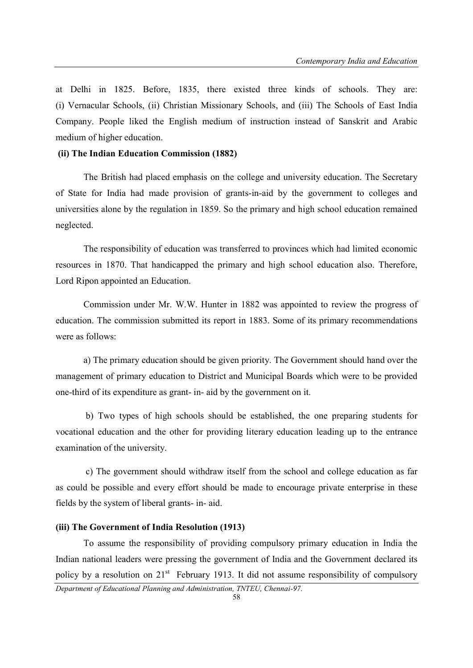at Delhi in 1825. Before, 1835, there existed three kinds of schools. They are: (i) Vernacular Schools, (ii) Christian Missionary Schools, and (iii) The Schools of East India Company. People liked the English medium of instruction instead of Sanskrit and Arabic medium of higher education.

#### (ii) The Indian Education Commission (1882)

The British had placed emphasis on the college and university education. The Secretary of State for India had made provision of grants-in-aid by the government to colleges and universities alone by the regulation in 1859. So the primary and high school education remained neglected.

The responsibility of education was transferred to provinces which had limited economic resources in 1870. That handicapped the primary and high school education also. Therefore, Lord Ripon appointed an Education.

Commission under Mr. W.W. Hunter in 1882 was appointed to review the progress of education. The commission submitted its report in 1883. Some of its primary recommendations were as follows:

a) The primary education should be given priority. The Government should hand over the management of primary education to District and Municipal Boards which were to be provided one-third of its expenditure as grant- in- aid by the government on it.

 b) Two types of high schools should be established, the one preparing students for vocational education and the other for providing literary education leading up to the entrance examination of the university.

 c) The government should withdraw itself from the school and college education as far as could be possible and every effort should be made to encourage private enterprise in these fields by the system of liberal grants- in- aid.

#### (iii) The Government of India Resolution (1913)

 To assume the responsibility of providing compulsory primary education in India the Indian national leaders were pressing the government of India and the Government declared its policy by a resolution on 21<sup>st</sup> February 1913. It did not assume responsibility of compulsory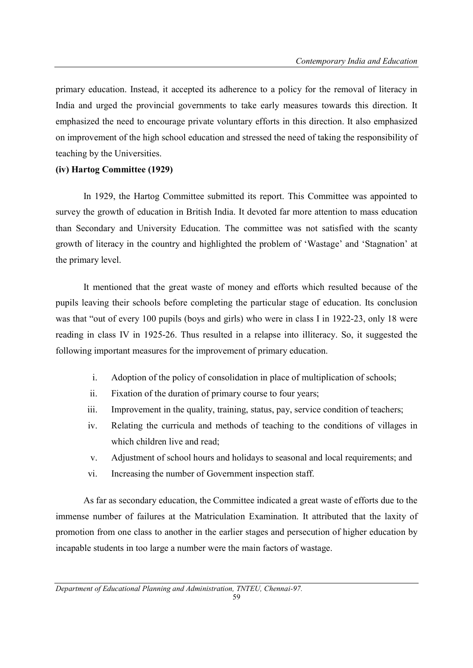primary education. Instead, it accepted its adherence to a policy for the removal of literacy in India and urged the provincial governments to take early measures towards this direction. It emphasized the need to encourage private voluntary efforts in this direction. It also emphasized on improvement of the high school education and stressed the need of taking the responsibility of teaching by the Universities.

## (iv) Hartog Committee (1929)

 In 1929, the Hartog Committee submitted its report. This Committee was appointed to survey the growth of education in British India. It devoted far more attention to mass education than Secondary and University Education. The committee was not satisfied with the scanty growth of literacy in the country and highlighted the problem of 'Wastage' and 'Stagnation' at the primary level.

 It mentioned that the great waste of money and efforts which resulted because of the pupils leaving their schools before completing the particular stage of education. Its conclusion was that "out of every 100 pupils (boys and girls) who were in class I in 1922-23, only 18 were reading in class IV in 1925-26. Thus resulted in a relapse into illiteracy. So, it suggested the following important measures for the improvement of primary education.

- i. Adoption of the policy of consolidation in place of multiplication of schools;
- ii. Fixation of the duration of primary course to four years;
- iii. Improvement in the quality, training, status, pay, service condition of teachers;
- iv. Relating the curricula and methods of teaching to the conditions of villages in which children live and read;
- v. Adjustment of school hours and holidays to seasonal and local requirements; and
- vi. Increasing the number of Government inspection staff.

 As far as secondary education, the Committee indicated a great waste of efforts due to the immense number of failures at the Matriculation Examination. It attributed that the laxity of promotion from one class to another in the earlier stages and persecution of higher education by incapable students in too large a number were the main factors of wastage.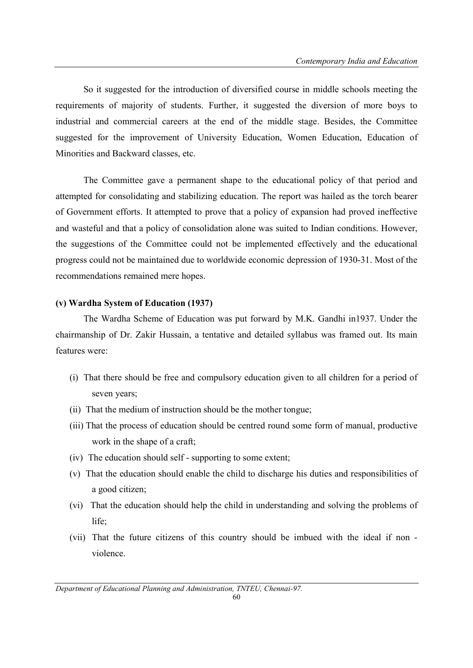So it suggested for the introduction of diversified course in middle schools meeting the requirements of majority of students. Further, it suggested the diversion of more boys to industrial and commercial careers at the end of the middle stage. Besides, the Committee suggested for the improvement of University Education, Women Education, Education of Minorities and Backward classes, etc.

 The Committee gave a permanent shape to the educational policy of that period and attempted for consolidating and stabilizing education. The report was hailed as the torch bearer of Government efforts. It attempted to prove that a policy of expansion had proved ineffective and wasteful and that a policy of consolidation alone was suited to Indian conditions. However, the suggestions of the Committee could not be implemented effectively and the educational progress could not be maintained due to worldwide economic depression of 1930-31. Most of the recommendations remained mere hopes.

#### (v) Wardha System of Education (1937)

The Wardha Scheme of Education was put forward by M.K. Gandhi in1937. Under the chairmanship of Dr. Zakir Hussain, a tentative and detailed syllabus was framed out. Its main features were:

- (i) That there should be free and compulsory education given to all children for a period of seven years;
- (ii) That the medium of instruction should be the mother tongue;
- (iii) That the process of education should be centred round some form of manual, productive work in the shape of a craft;
- (iv) The education should self supporting to some extent;
- (v) That the education should enable the child to discharge his duties and responsibilities of a good citizen;
- (vi) That the education should help the child in understanding and solving the problems of life;
- (vii) That the future citizens of this country should be imbued with the ideal if non violence.

Department of Educational Planning and Administration, TNTEU, Chennai-97.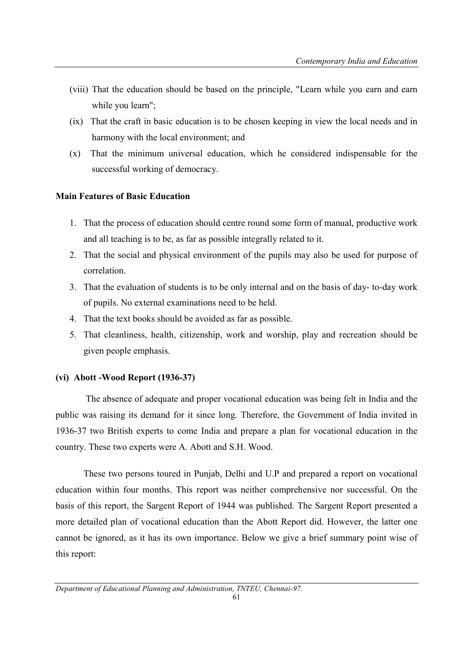- (viii) That the education should be based on the principle, "Learn while you earn and earn while you learn";
- (ix) That the craft in basic education is to be chosen keeping in view the local needs and in harmony with the local environment; and
- (x) That the minimum universal education, which he considered indispensable for the successful working of democracy.

## Main Features of Basic Education

- 1. That the process of education should centre round some form of manual, productive work and all teaching is to be, as far as possible integrally related to it.
- 2. That the social and physical environment of the pupils may also be used for purpose of correlation.
- 3. That the evaluation of students is to be only internal and on the basis of day- to-day work of pupils. No external examinations need to be held.
- 4. That the text books should be avoided as far as possible.
- 5. That cleanliness, health, citizenship, work and worship, play and recreation should be given people emphasis.

## (vi) Abott -Wood Report (1936-37)

 The absence of adequate and proper vocational education was being felt in India and the public was raising its demand for it since long. Therefore, the Government of India invited in 1936-37 two British experts to come India and prepare a plan for vocational education in the country. These two experts were A. Abott and S.H. Wood.

 These two persons toured in Punjab, Delhi and U.P and prepared a report on vocational education within four months. This report was neither comprehensive nor successful. On the basis of this report, the Sargent Report of 1944 was published. The Sargent Report presented a more detailed plan of vocational education than the Abott Report did. However, the latter one cannot be ignored, as it has its own importance. Below we give a brief summary point wise of this report:

Department of Educational Planning and Administration, TNTEU, Chennai-97.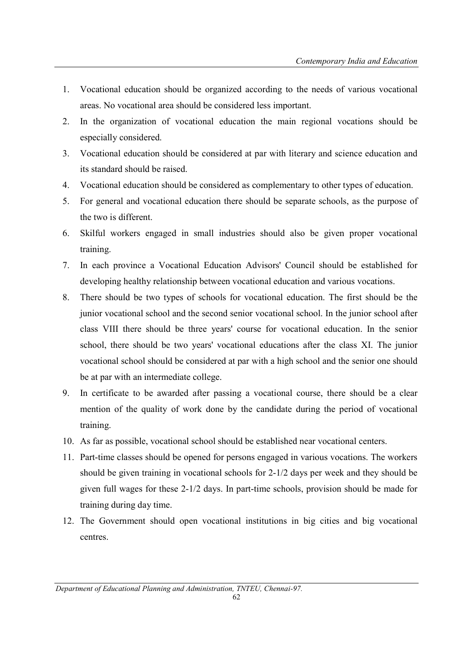- 1. Vocational education should be organized according to the needs of various vocational areas. No vocational area should be considered less important.
- 2. In the organization of vocational education the main regional vocations should be especially considered.
- 3. Vocational education should be considered at par with literary and science education and its standard should be raised.
- 4. Vocational education should be considered as complementary to other types of education.
- 5. For general and vocational education there should be separate schools, as the purpose of the two is different.
- 6. Skilful workers engaged in small industries should also be given proper vocational training.
- 7. In each province a Vocational Education Advisors' Council should be established for developing healthy relationship between vocational education and various vocations.
- 8. There should be two types of schools for vocational education. The first should be the junior vocational school and the second senior vocational school. In the junior school after class VIII there should be three years' course for vocational education. In the senior school, there should be two years' vocational educations after the class XI. The junior vocational school should be considered at par with a high school and the senior one should be at par with an intermediate college.
- 9. In certificate to be awarded after passing a vocational course, there should be a clear mention of the quality of work done by the candidate during the period of vocational training.
- 10. As far as possible, vocational school should be established near vocational centers.
- 11. Part-time classes should be opened for persons engaged in various vocations. The workers should be given training in vocational schools for 2-1/2 days per week and they should be given full wages for these 2-1/2 days. In part-time schools, provision should be made for training during day time.
- 12. The Government should open vocational institutions in big cities and big vocational centres.